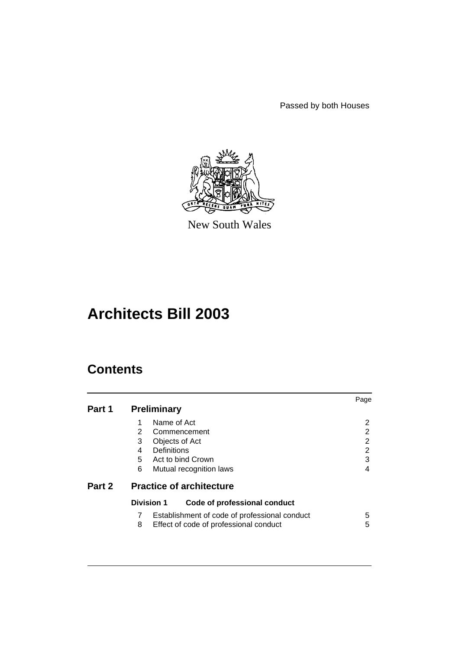Passed by both Houses



New South Wales

# **Architects Bill 2003**

# **Contents**

|        |                                                                                                                                       | Page                       |
|--------|---------------------------------------------------------------------------------------------------------------------------------------|----------------------------|
| Part 1 | <b>Preliminary</b>                                                                                                                    |                            |
|        | Name of Act<br>2<br>Commencement<br>3<br>Objects of Act<br>Definitions<br>4<br>5<br>Act to bind Crown<br>6<br>Mutual recognition laws | 2<br>2<br>2<br>2<br>3<br>4 |
| Part 2 | <b>Practice of architecture</b>                                                                                                       |                            |
|        | <b>Division 1</b><br>Code of professional conduct                                                                                     |                            |
|        | Establishment of code of professional conduct<br>8<br>Effect of code of professional conduct                                          | 5<br>5                     |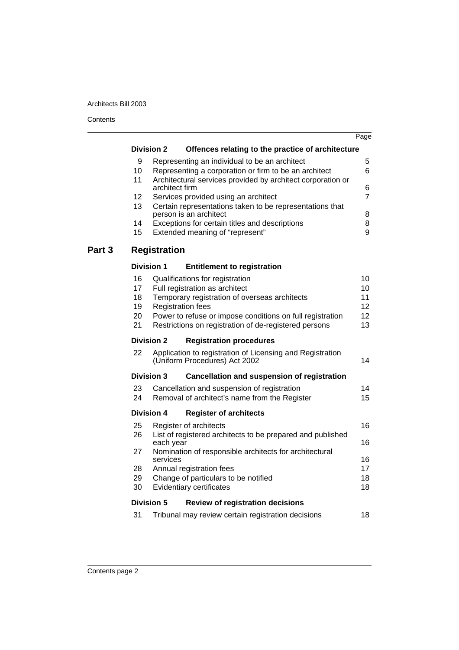**Contents** 

 $\overline{\phantom{a}}$ and a

|        |          |                     |                                                                                            | Page           |
|--------|----------|---------------------|--------------------------------------------------------------------------------------------|----------------|
|        |          | <b>Division 2</b>   | Offences relating to the practice of architecture                                          |                |
|        | 9        |                     | Representing an individual to be an architect                                              | 5              |
|        | 10       |                     | Representing a corporation or firm to be an architect                                      | 6              |
|        | 11       | architect firm      | Architectural services provided by architect corporation or                                | 6              |
|        | 12       |                     | Services provided using an architect                                                       | $\overline{7}$ |
|        | 13       |                     | Certain representations taken to be representations that                                   |                |
|        | 14       |                     | person is an architect<br>Exceptions for certain titles and descriptions                   | 8<br>8         |
|        | 15       |                     | Extended meaning of "represent"                                                            | 9              |
| Part 3 |          | <b>Registration</b> |                                                                                            |                |
|        |          |                     |                                                                                            |                |
|        |          | <b>Division 1</b>   | <b>Entitlement to registration</b>                                                         |                |
|        | 16       |                     | Qualifications for registration                                                            | 10             |
|        | 17<br>18 |                     | Full registration as architect<br>Temporary registration of overseas architects            | 10<br>11       |
|        | 19       |                     | <b>Registration fees</b>                                                                   | 12             |
|        | 20       |                     | Power to refuse or impose conditions on full registration                                  | 12             |
|        | 21       |                     | Restrictions on registration of de-registered persons                                      | 13             |
|        |          | <b>Division 2</b>   | <b>Registration procedures</b>                                                             |                |
|        | 22       |                     | Application to registration of Licensing and Registration<br>(Uniform Procedures) Act 2002 | 14             |
|        |          | <b>Division 3</b>   | <b>Cancellation and suspension of registration</b>                                         |                |
|        | 23       |                     | Cancellation and suspension of registration                                                | 14             |
|        | 24       |                     | Removal of architect's name from the Register                                              | 15             |
|        |          | <b>Division 4</b>   | <b>Register of architects</b>                                                              |                |
|        | 25       |                     | Register of architects                                                                     | 16             |
|        | 26       | each year           | List of registered architects to be prepared and published                                 | 16             |
|        | 27       | services            | Nomination of responsible architects for architectural                                     | 16             |
|        | 28       |                     | Annual registration fees                                                                   | 17             |
|        | 29       |                     | Change of particulars to be notified                                                       | 18             |
|        | 30       |                     | Evidentiary certificates                                                                   | 18             |
|        |          | <b>Division 5</b>   | <b>Review of registration decisions</b>                                                    |                |
|        | 31       |                     | Tribunal may review certain registration decisions                                         | 18             |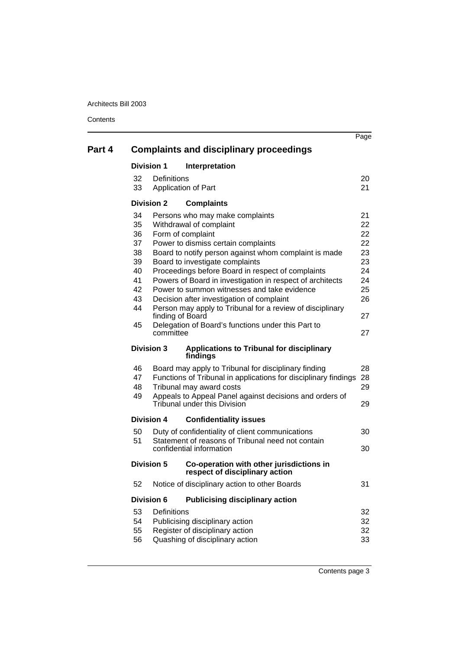**Contents** 

|        |                                                                |                                           |                                                                                                                                                                                                                                                                                                                                                                                                                                                                          | Page                                                           |
|--------|----------------------------------------------------------------|-------------------------------------------|--------------------------------------------------------------------------------------------------------------------------------------------------------------------------------------------------------------------------------------------------------------------------------------------------------------------------------------------------------------------------------------------------------------------------------------------------------------------------|----------------------------------------------------------------|
| Part 4 |                                                                |                                           | <b>Complaints and disciplinary proceedings</b>                                                                                                                                                                                                                                                                                                                                                                                                                           |                                                                |
|        | <b>Division 1</b>                                              |                                           | Interpretation                                                                                                                                                                                                                                                                                                                                                                                                                                                           |                                                                |
|        | 32<br>33                                                       | <b>Definitions</b><br>Application of Part |                                                                                                                                                                                                                                                                                                                                                                                                                                                                          | 20<br>21                                                       |
|        | <b>Division 2</b>                                              |                                           | <b>Complaints</b>                                                                                                                                                                                                                                                                                                                                                                                                                                                        |                                                                |
|        | 34<br>35<br>36<br>37<br>38<br>39<br>40<br>41<br>42<br>43<br>44 | Form of complaint<br>finding of Board     | Persons who may make complaints<br>Withdrawal of complaint<br>Power to dismiss certain complaints<br>Board to notify person against whom complaint is made<br>Board to investigate complaints<br>Proceedings before Board in respect of complaints<br>Powers of Board in investigation in respect of architects<br>Power to summon witnesses and take evidence<br>Decision after investigation of complaint<br>Person may apply to Tribunal for a review of disciplinary | 21<br>22<br>22<br>22<br>23<br>23<br>24<br>24<br>25<br>26<br>27 |
|        | 45                                                             | committee                                 | Delegation of Board's functions under this Part to                                                                                                                                                                                                                                                                                                                                                                                                                       | 27                                                             |
|        | <b>Division 3</b>                                              |                                           | <b>Applications to Tribunal for disciplinary</b><br>findings                                                                                                                                                                                                                                                                                                                                                                                                             |                                                                |
|        | 46<br>47<br>48<br>49                                           |                                           | Board may apply to Tribunal for disciplinary finding<br>Functions of Tribunal in applications for disciplinary findings 28<br>Tribunal may award costs<br>Appeals to Appeal Panel against decisions and orders of<br>Tribunal under this Division                                                                                                                                                                                                                        | 28<br>29<br>29                                                 |
|        | Division 4                                                     |                                           | <b>Confidentiality issues</b>                                                                                                                                                                                                                                                                                                                                                                                                                                            |                                                                |
|        | 50<br>51                                                       |                                           | Duty of confidentiality of client communications<br>Statement of reasons of Tribunal need not contain<br>confidential information                                                                                                                                                                                                                                                                                                                                        | 30<br>30                                                       |
|        | <b>Division 5</b>                                              |                                           | Co-operation with other jurisdictions in<br>respect of disciplinary action                                                                                                                                                                                                                                                                                                                                                                                               |                                                                |
|        | 52                                                             |                                           | Notice of disciplinary action to other Boards                                                                                                                                                                                                                                                                                                                                                                                                                            | 31                                                             |
|        | <b>Division 6</b>                                              |                                           | <b>Publicising disciplinary action</b>                                                                                                                                                                                                                                                                                                                                                                                                                                   |                                                                |
|        | 53<br>54<br>55<br>56                                           | <b>Definitions</b>                        | Publicising disciplinary action<br>Register of disciplinary action<br>Quashing of disciplinary action                                                                                                                                                                                                                                                                                                                                                                    | 32<br>32<br>32<br>33                                           |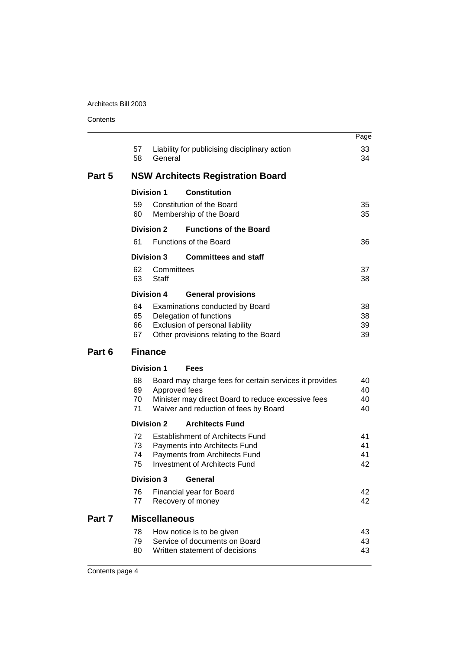| Contents |
|----------|
|----------|

|        |                      |                                                                                                                                                                        | Page                 |
|--------|----------------------|------------------------------------------------------------------------------------------------------------------------------------------------------------------------|----------------------|
|        | 57<br>58             | Liability for publicising disciplinary action<br>General                                                                                                               | 33<br>34             |
| Part 5 |                      | <b>NSW Architects Registration Board</b>                                                                                                                               |                      |
|        |                      | <b>Division 1</b><br><b>Constitution</b>                                                                                                                               |                      |
|        | 59<br>60             | Constitution of the Board<br>Membership of the Board                                                                                                                   | 35<br>35             |
|        | 61                   | <b>Division 2</b><br><b>Functions of the Board</b><br><b>Functions of the Board</b>                                                                                    | 36                   |
|        |                      | <b>Committees and staff</b><br><b>Division 3</b>                                                                                                                       |                      |
|        | 62<br>63             | Committees<br><b>Staff</b>                                                                                                                                             | 37<br>38             |
|        |                      | <b>Division 4</b><br><b>General provisions</b>                                                                                                                         |                      |
|        | 64<br>65<br>66<br>67 | Examinations conducted by Board<br>Delegation of functions<br>Exclusion of personal liability<br>Other provisions relating to the Board                                | 38<br>38<br>39<br>39 |
| Part 6 |                      | <b>Finance</b>                                                                                                                                                         |                      |
|        |                      | <b>Division 1</b><br>Fees                                                                                                                                              |                      |
|        |                      |                                                                                                                                                                        |                      |
|        | 68<br>69<br>70<br>71 | Board may charge fees for certain services it provides<br>Approved fees<br>Minister may direct Board to reduce excessive fees<br>Waiver and reduction of fees by Board | 40<br>40<br>40<br>40 |
|        |                      | <b>Division 2</b><br><b>Architects Fund</b>                                                                                                                            |                      |
|        | 72<br>73<br>74<br>75 | <b>Establishment of Architects Fund</b><br>Payments into Architects Fund<br>Payments from Architects Fund<br><b>Investment of Architects Fund</b>                      | 41<br>41<br>41<br>42 |
|        |                      | <b>Division 3</b><br>General                                                                                                                                           |                      |
|        | 76<br>77             | Financial year for Board<br>Recovery of money                                                                                                                          | 42<br>42             |
| Part 7 |                      | <b>Miscellaneous</b>                                                                                                                                                   |                      |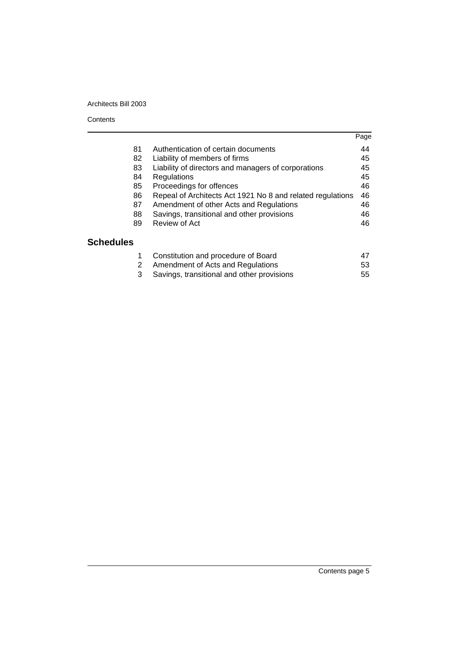#### **Contents**

|                  |                                                            | Page |
|------------------|------------------------------------------------------------|------|
| 81               | Authentication of certain documents                        | 44   |
| 82               | Liability of members of firms                              | 45   |
| 83               | Liability of directors and managers of corporations        | 45   |
| 84               | Regulations                                                | 45   |
| 85               | Proceedings for offences                                   | 46   |
| 86               | Repeal of Architects Act 1921 No 8 and related regulations | 46   |
| 87               | Amendment of other Acts and Regulations                    | 46   |
| 88               | Savings, transitional and other provisions                 | 46   |
| 89               | Review of Act                                              | 46   |
| <b>Schedules</b> |                                                            |      |
| 1                | Constitution and procedure of Board                        | 47   |
| 2                | Amendment of Acts and Regulations                          | 53   |
| 3                | Savings, transitional and other provisions                 | 55   |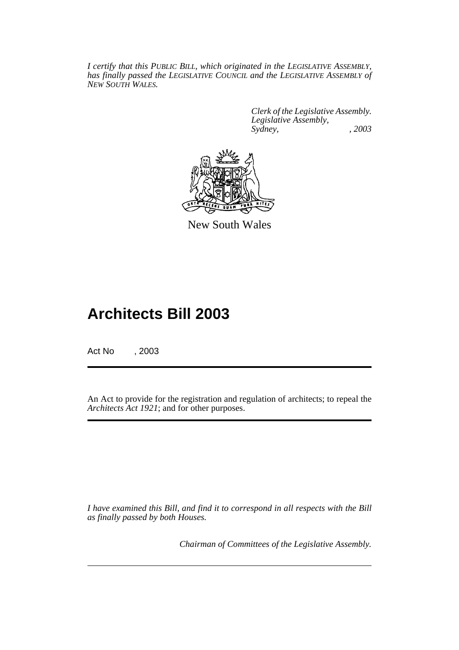*I certify that this PUBLIC BILL, which originated in the LEGISLATIVE ASSEMBLY, has finally passed the LEGISLATIVE COUNCIL and the LEGISLATIVE ASSEMBLY of NEW SOUTH WALES.*

> *Clerk of the Legislative Assembly. Legislative Assembly, Sydney, , 2003*



New South Wales

# **Architects Bill 2003**

Act No , 2003

An Act to provide for the registration and regulation of architects; to repeal the *Architects Act 1921*; and for other purposes.

*I have examined this Bill, and find it to correspond in all respects with the Bill as finally passed by both Houses.*

*Chairman of Committees of the Legislative Assembly.*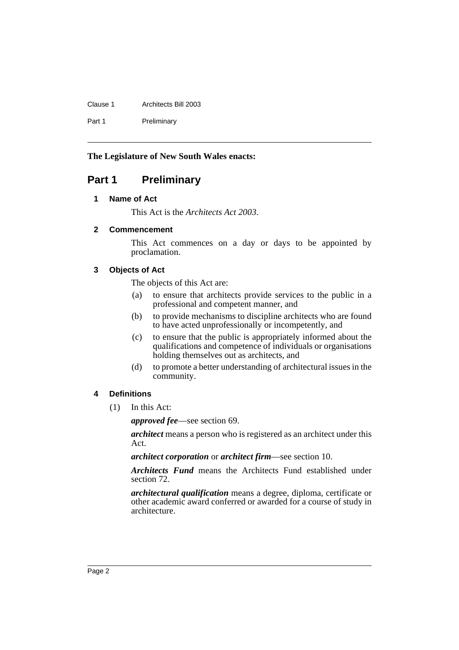Clause 1 Architects Bill 2003 Part 1 Preliminary

**The Legislature of New South Wales enacts:**

# <span id="page-6-1"></span><span id="page-6-0"></span>**Part 1 Preliminary**

# **1 Name of Act**

This Act is the *Architects Act 2003*.

# <span id="page-6-2"></span>**2 Commencement**

This Act commences on a day or days to be appointed by proclamation.

# <span id="page-6-3"></span>**3 Objects of Act**

The objects of this Act are:

- (a) to ensure that architects provide services to the public in a professional and competent manner, and
- (b) to provide mechanisms to discipline architects who are found to have acted unprofessionally or incompetently, and
- (c) to ensure that the public is appropriately informed about the qualifications and competence of individuals or organisations holding themselves out as architects, and
- (d) to promote a better understanding of architectural issues in the community.

# <span id="page-6-4"></span>**4 Definitions**

(1) In this Act:

*approved fee*—see section 69.

*architect* means a person who is registered as an architect under this Act.

*architect corporation* or *architect firm*—see section 10.

*Architects Fund* means the Architects Fund established under section 72.

*architectural qualification* means a degree, diploma, certificate or other academic award conferred or awarded for a course of study in architecture.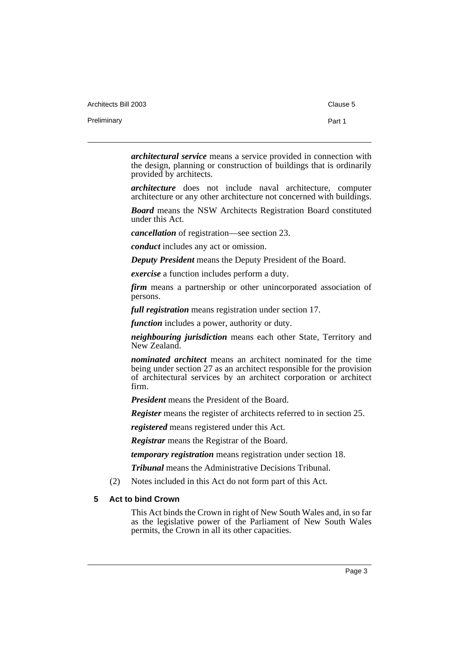Architects Bill 2003 Clause 5

Preliminary **Preliminary** Part 1

*architectural service* means a service provided in connection with the design, planning or construction of buildings that is ordinarily provided by architects.

*architecture* does not include naval architecture, computer architecture or any other architecture not concerned with buildings.

*Board* means the NSW Architects Registration Board constituted under this Act.

*cancellation* of registration—see section 23.

*conduct* includes any act or omission.

*Deputy President* means the Deputy President of the Board.

*exercise* a function includes perform a duty.

*firm* means a partnership or other unincorporated association of persons.

*full registration* means registration under section 17.

*function* includes a power, authority or duty.

*neighbouring jurisdiction* means each other State, Territory and New Zealand.

*nominated architect* means an architect nominated for the time being under section 27 as an architect responsible for the provision of architectural services by an architect corporation or architect firm.

*President* means the President of the Board.

*Register* means the register of architects referred to in section 25.

*registered* means registered under this Act.

*Registrar* means the Registrar of the Board.

*temporary registration* means registration under section 18.

*Tribunal* means the Administrative Decisions Tribunal.

(2) Notes included in this Act do not form part of this Act.

# <span id="page-7-0"></span>**5 Act to bind Crown**

This Act binds the Crown in right of New South Wales and, in so far as the legislative power of the Parliament of New South Wales permits, the Crown in all its other capacities.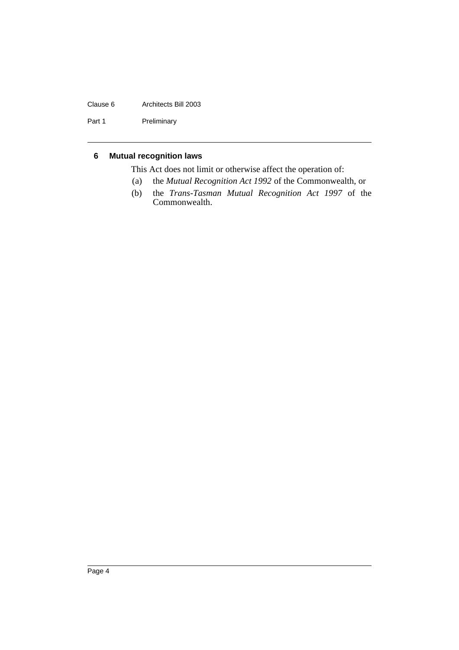# Clause 6 Architects Bill 2003

Part 1 Preliminary

# <span id="page-8-0"></span>**6 Mutual recognition laws**

This Act does not limit or otherwise affect the operation of:

- (a) the *Mutual Recognition Act 1992* of the Commonwealth, or
- (b) the *Trans-Tasman Mutual Recognition Act 1997* of the Commonwealth.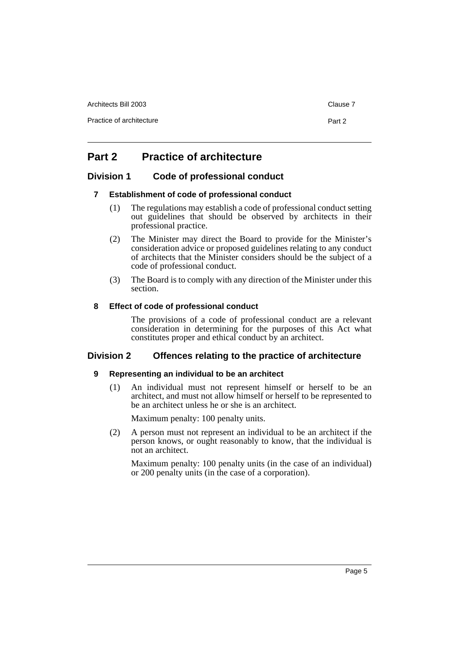Architects Bill 2003 Clause 7

Practice of architecture **Part 2** 

# <span id="page-9-0"></span>**Part 2 Practice of architecture**

# <span id="page-9-2"></span><span id="page-9-1"></span>**Division 1 Code of professional conduct**

# **7 Establishment of code of professional conduct**

- (1) The regulations may establish a code of professional conduct setting out guidelines that should be observed by architects in their professional practice.
- (2) The Minister may direct the Board to provide for the Minister's consideration advice or proposed guidelines relating to any conduct of architects that the Minister considers should be the subject of a code of professional conduct.
- (3) The Board is to comply with any direction of the Minister under this section.

# <span id="page-9-3"></span>**8 Effect of code of professional conduct**

The provisions of a code of professional conduct are a relevant consideration in determining for the purposes of this Act what constitutes proper and ethical conduct by an architect.

# <span id="page-9-5"></span><span id="page-9-4"></span>**Division 2 Offences relating to the practice of architecture**

# **9 Representing an individual to be an architect**

(1) An individual must not represent himself or herself to be an architect, and must not allow himself or herself to be represented to be an architect unless he or she is an architect.

Maximum penalty: 100 penalty units.

(2) A person must not represent an individual to be an architect if the person knows, or ought reasonably to know, that the individual is not an architect.

Maximum penalty: 100 penalty units (in the case of an individual) or 200 penalty units (in the case of a corporation).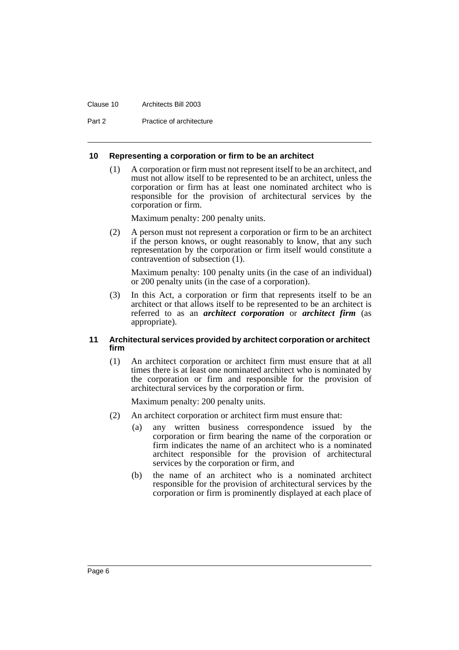#### Clause 10 Architects Bill 2003

Part 2 Practice of architecture

### <span id="page-10-0"></span>**10 Representing a corporation or firm to be an architect**

(1) A corporation or firm must not represent itself to be an architect, and must not allow itself to be represented to be an architect, unless the corporation or firm has at least one nominated architect who is responsible for the provision of architectural services by the corporation or firm.

Maximum penalty: 200 penalty units.

(2) A person must not represent a corporation or firm to be an architect if the person knows, or ought reasonably to know, that any such representation by the corporation or firm itself would constitute a contravention of subsection (1).

Maximum penalty: 100 penalty units (in the case of an individual) or 200 penalty units (in the case of a corporation).

(3) In this Act, a corporation or firm that represents itself to be an architect or that allows itself to be represented to be an architect is referred to as an *architect corporation* or *architect firm* (as appropriate).

### <span id="page-10-1"></span>**11 Architectural services provided by architect corporation or architect firm**

(1) An architect corporation or architect firm must ensure that at all times there is at least one nominated architect who is nominated by the corporation or firm and responsible for the provision of architectural services by the corporation or firm.

Maximum penalty: 200 penalty units.

- (2) An architect corporation or architect firm must ensure that:
	- (a) any written business correspondence issued by the corporation or firm bearing the name of the corporation or firm indicates the name of an architect who is a nominated architect responsible for the provision of architectural services by the corporation or firm, and
	- (b) the name of an architect who is a nominated architect responsible for the provision of architectural services by the corporation or firm is prominently displayed at each place of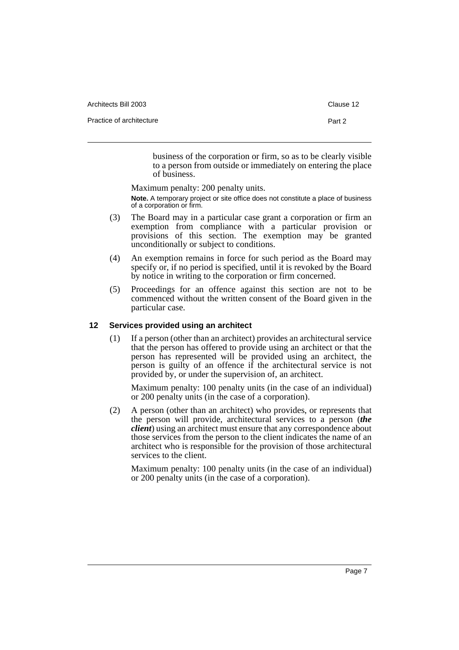| Architects Bill 2003     | Clause 12 |
|--------------------------|-----------|
| Practice of architecture | Part 2    |
|                          |           |

business of the corporation or firm, so as to be clearly visible to a person from outside or immediately on entering the place of business.

Maximum penalty: 200 penalty units. **Note.** A temporary project or site office does not constitute a place of business of a corporation or firm.

- (3) The Board may in a particular case grant a corporation or firm an exemption from compliance with a particular provision or provisions of this section. The exemption may be granted unconditionally or subject to conditions.
- (4) An exemption remains in force for such period as the Board may specify or, if no period is specified, until it is revoked by the Board by notice in writing to the corporation or firm concerned.
- (5) Proceedings for an offence against this section are not to be commenced without the written consent of the Board given in the particular case.

# <span id="page-11-0"></span>**12 Services provided using an architect**

(1) If a person (other than an architect) provides an architectural service that the person has offered to provide using an architect or that the person has represented will be provided using an architect, the person is guilty of an offence if the architectural service is not provided by, or under the supervision of, an architect.

Maximum penalty: 100 penalty units (in the case of an individual) or 200 penalty units (in the case of a corporation).

(2) A person (other than an architect) who provides, or represents that the person will provide, architectural services to a person (*the client*) using an architect must ensure that any correspondence about those services from the person to the client indicates the name of an architect who is responsible for the provision of those architectural services to the client.

Maximum penalty: 100 penalty units (in the case of an individual) or 200 penalty units (in the case of a corporation).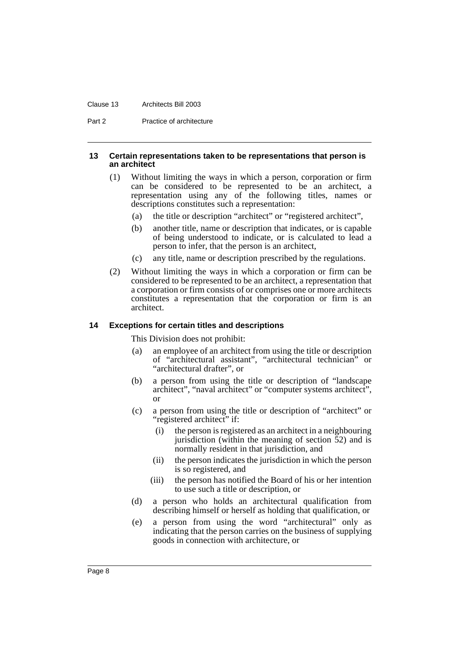#### Clause 13 Architects Bill 2003

Part 2 Practice of architecture

#### <span id="page-12-0"></span>**13 Certain representations taken to be representations that person is an architect**

- (1) Without limiting the ways in which a person, corporation or firm can be considered to be represented to be an architect, a representation using any of the following titles, names or descriptions constitutes such a representation:
	- (a) the title or description "architect" or "registered architect",
	- (b) another title, name or description that indicates, or is capable of being understood to indicate, or is calculated to lead a person to infer, that the person is an architect,
	- (c) any title, name or description prescribed by the regulations.
- (2) Without limiting the ways in which a corporation or firm can be considered to be represented to be an architect, a representation that a corporation or firm consists of or comprises one or more architects constitutes a representation that the corporation or firm is an architect.

### <span id="page-12-1"></span>**14 Exceptions for certain titles and descriptions**

This Division does not prohibit:

- (a) an employee of an architect from using the title or description of "architectural assistant", "architectural technician" or "architectural drafter", or
- (b) a person from using the title or description of "landscape architect", "naval architect" or "computer systems architect", or
- (c) a person from using the title or description of "architect" or "registered architect" if:
	- (i) the person is registered as an architect in a neighbouring jurisdiction (within the meaning of section 52) and is normally resident in that jurisdiction, and
	- (ii) the person indicates the jurisdiction in which the person is so registered, and
	- (iii) the person has notified the Board of his or her intention to use such a title or description, or
- (d) a person who holds an architectural qualification from describing himself or herself as holding that qualification, or
- (e) a person from using the word "architectural" only as indicating that the person carries on the business of supplying goods in connection with architecture, or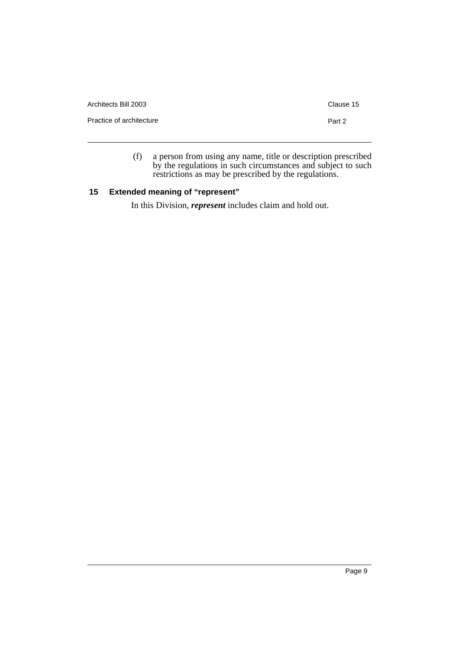| Architects Bill 2003     | Clause 15 |
|--------------------------|-----------|
| Practice of architecture | Part 2    |
|                          |           |

(f) a person from using any name, title or description prescribed by the regulations in such circumstances and subject to such restrictions as may be prescribed by the regulations.

# <span id="page-13-0"></span>**15 Extended meaning of "represent"**

In this Division, *represent* includes claim and hold out.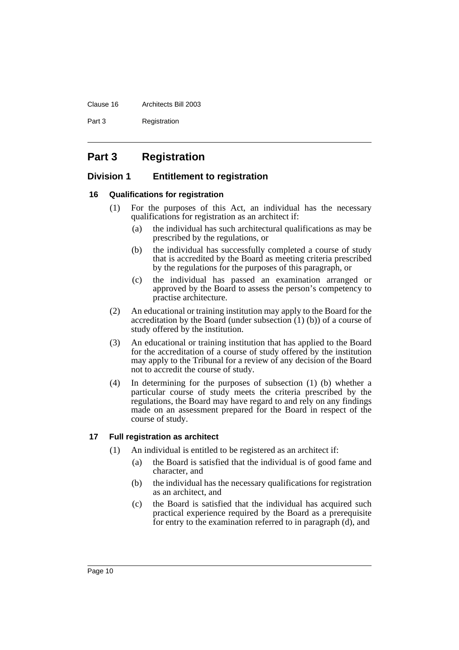#### Clause 16 Architects Bill 2003

Part 3 Registration

# <span id="page-14-0"></span>**Part 3 Registration**

# <span id="page-14-1"></span>**Division 1 Entitlement to registration**

# <span id="page-14-2"></span>**16 Qualifications for registration**

- (1) For the purposes of this Act, an individual has the necessary qualifications for registration as an architect if:
	- (a) the individual has such architectural qualifications as may be prescribed by the regulations, or
	- (b) the individual has successfully completed a course of study that is accredited by the Board as meeting criteria prescribed by the regulations for the purposes of this paragraph, or
	- (c) the individual has passed an examination arranged or approved by the Board to assess the person's competency to practise architecture.
- (2) An educational or training institution may apply to the Board for the accreditation by the Board (under subsection (1) (b)) of a course of study offered by the institution.
- (3) An educational or training institution that has applied to the Board for the accreditation of a course of study offered by the institution may apply to the Tribunal for a review of any decision of the Board not to accredit the course of study.
- (4) In determining for the purposes of subsection (1) (b) whether a particular course of study meets the criteria prescribed by the regulations, the Board may have regard to and rely on any findings made on an assessment prepared for the Board in respect of the course of study.

# <span id="page-14-3"></span>**17 Full registration as architect**

- (1) An individual is entitled to be registered as an architect if:
	- (a) the Board is satisfied that the individual is of good fame and character, and
	- (b) the individual has the necessary qualifications for registration as an architect, and
	- (c) the Board is satisfied that the individual has acquired such practical experience required by the Board as a prerequisite for entry to the examination referred to in paragraph (d), and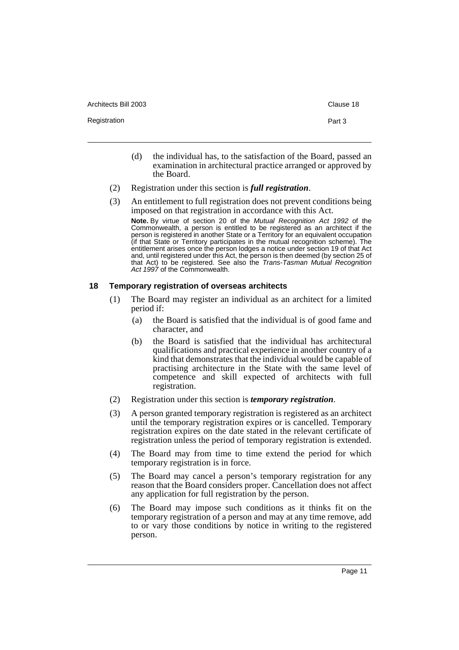Architects Bill 2003 **Clause 18** Clause 18

Registration **Part 3** 

- (d) the individual has, to the satisfaction of the Board, passed an examination in architectural practice arranged or approved by the Board.
- (2) Registration under this section is *full registration*.
- (3) An entitlement to full registration does not prevent conditions being imposed on that registration in accordance with this Act.

**Note.** By virtue of section 20 of the Mutual Recognition Act 1992 of the Commonwealth, a person is entitled to be registered as an architect if the person is registered in another State or a Territory for an equivalent occupation (if that State or Territory participates in the mutual recognition scheme). The entitlement arises once the person lodges a notice under section 19 of that Act and, until registered under this Act, the person is then deemed (by section 25 of that Act) to be registered. See also the Trans-Tasman Mutual Recognition Act 1997 of the Commonwealth.

### <span id="page-15-0"></span>**18 Temporary registration of overseas architects**

- (1) The Board may register an individual as an architect for a limited period if:
	- (a) the Board is satisfied that the individual is of good fame and character, and
	- (b) the Board is satisfied that the individual has architectural qualifications and practical experience in another country of a kind that demonstrates that the individual would be capable of practising architecture in the State with the same level of competence and skill expected of architects with full registration.
- (2) Registration under this section is *temporary registration*.
- (3) A person granted temporary registration is registered as an architect until the temporary registration expires or is cancelled. Temporary registration expires on the date stated in the relevant certificate of registration unless the period of temporary registration is extended.
- (4) The Board may from time to time extend the period for which temporary registration is in force.
- (5) The Board may cancel a person's temporary registration for any reason that the Board considers proper. Cancellation does not affect any application for full registration by the person.
- (6) The Board may impose such conditions as it thinks fit on the temporary registration of a person and may at any time remove, add to or vary those conditions by notice in writing to the registered person.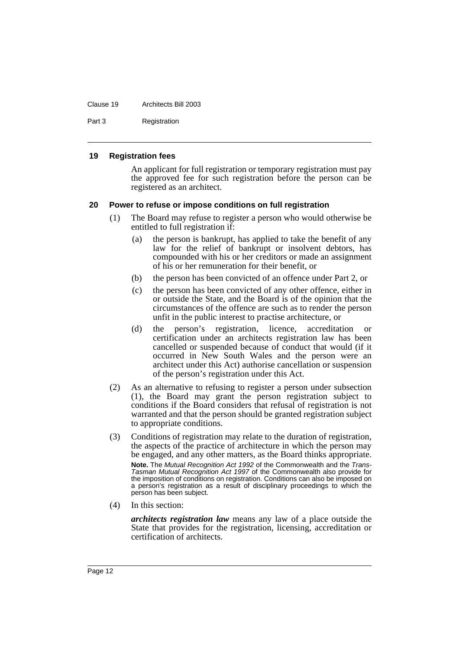#### Clause 19 Architects Bill 2003

Part 3 Registration

#### <span id="page-16-0"></span>**19 Registration fees**

An applicant for full registration or temporary registration must pay the approved fee for such registration before the person can be registered as an architect.

### <span id="page-16-1"></span>**20 Power to refuse or impose conditions on full registration**

- (1) The Board may refuse to register a person who would otherwise be entitled to full registration if:
	- (a) the person is bankrupt, has applied to take the benefit of any law for the relief of bankrupt or insolvent debtors, has compounded with his or her creditors or made an assignment of his or her remuneration for their benefit, or
	- (b) the person has been convicted of an offence under Part 2, or
	- (c) the person has been convicted of any other offence, either in or outside the State, and the Board is of the opinion that the circumstances of the offence are such as to render the person unfit in the public interest to practise architecture, or
	- (d) the person's registration, licence, accreditation or certification under an architects registration law has been cancelled or suspended because of conduct that would (if it occurred in New South Wales and the person were an architect under this Act) authorise cancellation or suspension of the person's registration under this Act.
- (2) As an alternative to refusing to register a person under subsection (1), the Board may grant the person registration subject to conditions if the Board considers that refusal of registration is not warranted and that the person should be granted registration subject to appropriate conditions.
- (3) Conditions of registration may relate to the duration of registration, the aspects of the practice of architecture in which the person may be engaged, and any other matters, as the Board thinks appropriate. **Note.** The Mutual Recognition Act 1992 of the Commonwealth and the Trans-Tasman Mutual Recognition Act 1997 of the Commonwealth also provide for the imposition of conditions on registration. Conditions can also be imposed on

a person's registration as a result of disciplinary proceedings to which the person has been subject.

(4) In this section:

*architects registration law* means any law of a place outside the State that provides for the registration, licensing, accreditation or certification of architects.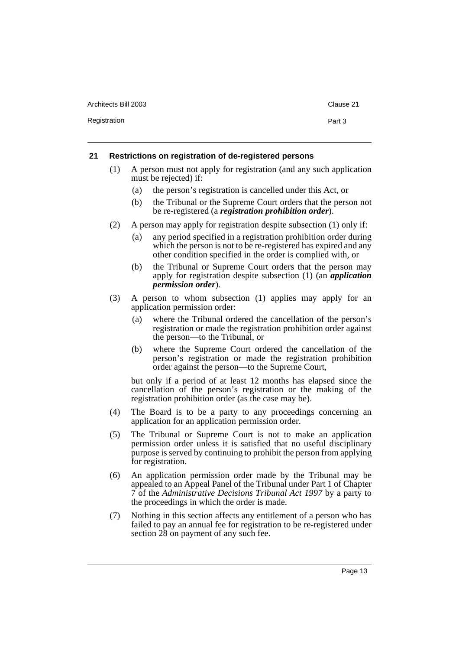| Architects Bill 2003 | Clause |
|----------------------|--------|
| Registration         | Part 3 |

# <span id="page-17-0"></span>**21 Restrictions on registration of de-registered persons**

- (1) A person must not apply for registration (and any such application must be rejected) if:
	- (a) the person's registration is cancelled under this Act, or
	- (b) the Tribunal or the Supreme Court orders that the person not be re-registered (a *registration prohibition order*).
- (2) A person may apply for registration despite subsection (1) only if:
	- (a) any period specified in a registration prohibition order during which the person is not to be re-registered has expired and any other condition specified in the order is complied with, or
	- (b) the Tribunal or Supreme Court orders that the person may apply for registration despite subsection (1) (an *application permission order*).
- (3) A person to whom subsection (1) applies may apply for an application permission order:
	- (a) where the Tribunal ordered the cancellation of the person's registration or made the registration prohibition order against the person—to the Tribunal, or
	- (b) where the Supreme Court ordered the cancellation of the person's registration or made the registration prohibition order against the person—to the Supreme Court,

but only if a period of at least 12 months has elapsed since the cancellation of the person's registration or the making of the registration prohibition order (as the case may be).

- (4) The Board is to be a party to any proceedings concerning an application for an application permission order.
- (5) The Tribunal or Supreme Court is not to make an application permission order unless it is satisfied that no useful disciplinary purpose is served by continuing to prohibit the person from applying for registration.
- (6) An application permission order made by the Tribunal may be appealed to an Appeal Panel of the Tribunal under Part 1 of Chapter 7 of the *Administrative Decisions Tribunal Act 1997* by a party to the proceedings in which the order is made.
- (7) Nothing in this section affects any entitlement of a person who has failed to pay an annual fee for registration to be re-registered under section 28 on payment of any such fee.

Clause 21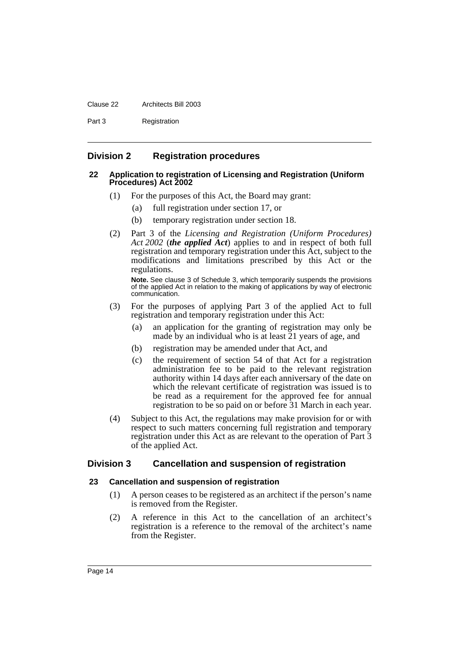#### Clause 22 Architects Bill 2003

Part 3 Registration

# <span id="page-18-0"></span>**Division 2 Registration procedures**

### <span id="page-18-1"></span>**22 Application to registration of Licensing and Registration (Uniform Procedures) Act 2002**

- (1) For the purposes of this Act, the Board may grant:
	- (a) full registration under section 17, or
	- (b) temporary registration under section 18.
- (2) Part 3 of the *Licensing and Registration (Uniform Procedures) Act 2002* (*the applied Act*) applies to and in respect of both full registration and temporary registration under this Act, subject to the modifications and limitations prescribed by this Act or the regulations.

**Note.** See clause 3 of Schedule 3, which temporarily suspends the provisions of the applied Act in relation to the making of applications by way of electronic communication.

- (3) For the purposes of applying Part 3 of the applied Act to full registration and temporary registration under this Act:
	- (a) an application for the granting of registration may only be made by an individual who is at least 21 years of age, and
	- (b) registration may be amended under that Act, and
	- (c) the requirement of section 54 of that Act for a registration administration fee to be paid to the relevant registration authority within 14 days after each anniversary of the date on which the relevant certificate of registration was issued is to be read as a requirement for the approved fee for annual registration to be so paid on or before 31 March in each year.
- (4) Subject to this Act, the regulations may make provision for or with respect to such matters concerning full registration and temporary registration under this Act as are relevant to the operation of Part 3 of the applied Act.

# <span id="page-18-2"></span>**Division 3 Cancellation and suspension of registration**

# <span id="page-18-3"></span>**23 Cancellation and suspension of registration**

- (1) A person ceases to be registered as an architect if the person's name is removed from the Register.
- (2) A reference in this Act to the cancellation of an architect's registration is a reference to the removal of the architect's name from the Register.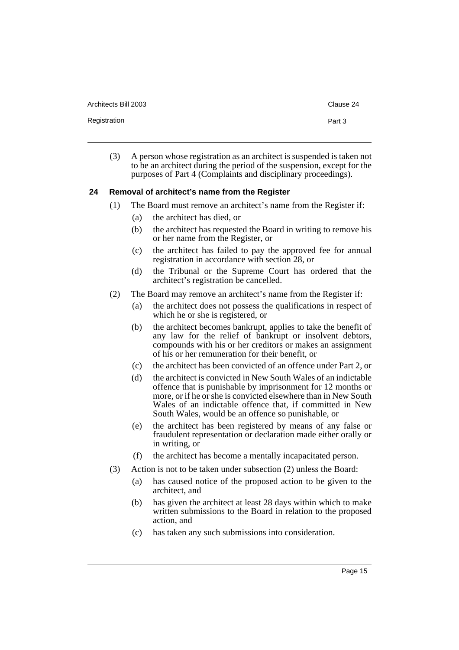Architects Bill 2003 **Clause 24** Clause 24

Registration **Part 3** 

(3) A person whose registration as an architect is suspended is taken not to be an architect during the period of the suspension, except for the purposes of Part 4 (Complaints and disciplinary proceedings).

### <span id="page-19-0"></span>**24 Removal of architect's name from the Register**

- (1) The Board must remove an architect's name from the Register if:
	- (a) the architect has died, or
	- (b) the architect has requested the Board in writing to remove his or her name from the Register, or
	- (c) the architect has failed to pay the approved fee for annual registration in accordance with section 28, or
	- (d) the Tribunal or the Supreme Court has ordered that the architect's registration be cancelled.
- (2) The Board may remove an architect's name from the Register if:
	- (a) the architect does not possess the qualifications in respect of which he or she is registered, or
	- (b) the architect becomes bankrupt, applies to take the benefit of any law for the relief of bankrupt or insolvent debtors, compounds with his or her creditors or makes an assignment of his or her remuneration for their benefit, or
	- (c) the architect has been convicted of an offence under Part 2, or
	- (d) the architect is convicted in New South Wales of an indictable offence that is punishable by imprisonment for 12 months or more, or if he or she is convicted elsewhere than in New South Wales of an indictable offence that, if committed in New South Wales, would be an offence so punishable, or
	- (e) the architect has been registered by means of any false or fraudulent representation or declaration made either orally or in writing, or
	- (f) the architect has become a mentally incapacitated person.
- (3) Action is not to be taken under subsection (2) unless the Board:
	- (a) has caused notice of the proposed action to be given to the architect, and
	- (b) has given the architect at least 28 days within which to make written submissions to the Board in relation to the proposed action, and
	- (c) has taken any such submissions into consideration.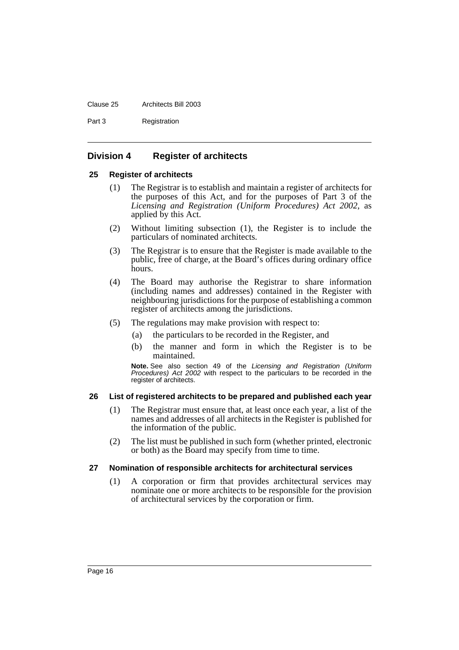#### Clause 25 Architects Bill 2003

Part 3 Registration

# <span id="page-20-0"></span>**Division 4 Register of architects**

### <span id="page-20-1"></span>**25 Register of architects**

- (1) The Registrar is to establish and maintain a register of architects for the purposes of this Act, and for the purposes of Part 3 of the *Licensing and Registration (Uniform Procedures) Act 2002*, as applied by this Act.
- (2) Without limiting subsection (1), the Register is to include the particulars of nominated architects.
- (3) The Registrar is to ensure that the Register is made available to the public, free of charge, at the Board's offices during ordinary office hours.
- (4) The Board may authorise the Registrar to share information (including names and addresses) contained in the Register with neighbouring jurisdictions for the purpose of establishing a common register of architects among the jurisdictions.
- (5) The regulations may make provision with respect to:
	- (a) the particulars to be recorded in the Register, and
	- (b) the manner and form in which the Register is to be maintained.

**Note.** See also section 49 of the Licensing and Registration (Uniform Procedures) Act 2002 with respect to the particulars to be recorded in the register of architects.

# <span id="page-20-2"></span>**26 List of registered architects to be prepared and published each year**

- (1) The Registrar must ensure that, at least once each year, a list of the names and addresses of all architects in the Register is published for the information of the public.
- (2) The list must be published in such form (whether printed, electronic or both) as the Board may specify from time to time.

# <span id="page-20-3"></span>**27 Nomination of responsible architects for architectural services**

(1) A corporation or firm that provides architectural services may nominate one or more architects to be responsible for the provision of architectural services by the corporation or firm.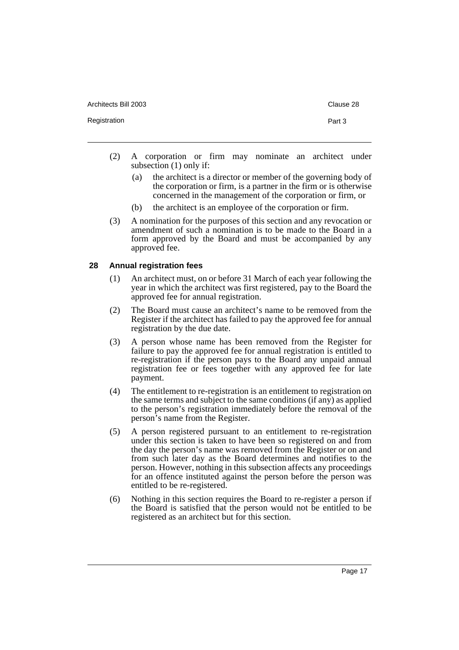Architects Bill 2003 **Clause 28** Registration **Part 3** 

- (2) A corporation or firm may nominate an architect under subsection (1) only if:
	- (a) the architect is a director or member of the governing body of the corporation or firm, is a partner in the firm or is otherwise concerned in the management of the corporation or firm, or
	- (b) the architect is an employee of the corporation or firm.
- (3) A nomination for the purposes of this section and any revocation or amendment of such a nomination is to be made to the Board in a form approved by the Board and must be accompanied by any approved fee.

# <span id="page-21-0"></span>**28 Annual registration fees**

- (1) An architect must, on or before 31 March of each year following the year in which the architect was first registered, pay to the Board the approved fee for annual registration.
- (2) The Board must cause an architect's name to be removed from the Register if the architect has failed to pay the approved fee for annual registration by the due date.
- (3) A person whose name has been removed from the Register for failure to pay the approved fee for annual registration is entitled to re-registration if the person pays to the Board any unpaid annual registration fee or fees together with any approved fee for late payment.
- (4) The entitlement to re-registration is an entitlement to registration on the same terms and subject to the same conditions (if any) as applied to the person's registration immediately before the removal of the person's name from the Register.
- (5) A person registered pursuant to an entitlement to re-registration under this section is taken to have been so registered on and from the day the person's name was removed from the Register or on and from such later day as the Board determines and notifies to the person. However, nothing in this subsection affects any proceedings for an offence instituted against the person before the person was entitled to be re-registered.
- (6) Nothing in this section requires the Board to re-register a person if the Board is satisfied that the person would not be entitled to be registered as an architect but for this section.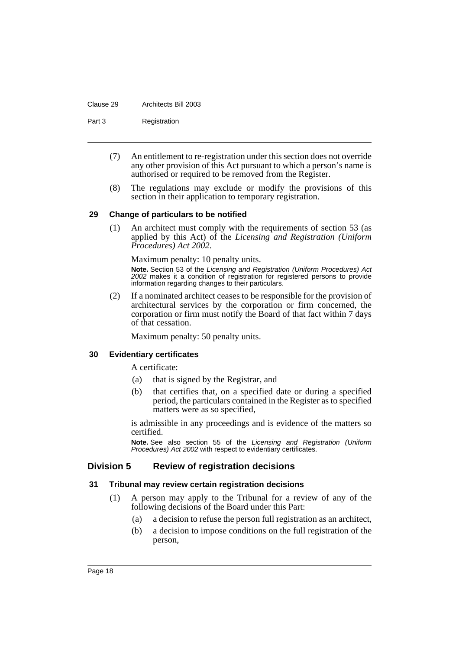#### Clause 29 Architects Bill 2003

Part 3 Registration

- (7) An entitlement to re-registration under this section does not override any other provision of this Act pursuant to which a person's name is authorised or required to be removed from the Register.
- (8) The regulations may exclude or modify the provisions of this section in their application to temporary registration.

# <span id="page-22-0"></span>**29 Change of particulars to be notified**

(1) An architect must comply with the requirements of section 53 (as applied by this Act) of the *Licensing and Registration (Uniform Procedures) Act 2002.*

Maximum penalty: 10 penalty units. **Note.** Section 53 of the Licensing and Registration (Uniform Procedures) Act 2002 makes it a condition of registration for registered persons to provide information regarding changes to their particulars.

(2) If a nominated architect ceases to be responsible for the provision of architectural services by the corporation or firm concerned, the corporation or firm must notify the Board of that fact within 7 days of that cessation.

Maximum penalty: 50 penalty units.

# <span id="page-22-1"></span>**30 Evidentiary certificates**

A certificate:

- (a) that is signed by the Registrar, and
- (b) that certifies that, on a specified date or during a specified period, the particulars contained in the Register as to specified matters were as so specified,

is admissible in any proceedings and is evidence of the matters so certified.

**Note.** See also section 55 of the Licensing and Registration (Uniform Procedures) Act 2002 with respect to evidentiary certificates.

# <span id="page-22-2"></span>**Division 5 Review of registration decisions**

# <span id="page-22-3"></span>**31 Tribunal may review certain registration decisions**

- (1) A person may apply to the Tribunal for a review of any of the following decisions of the Board under this Part:
	- (a) a decision to refuse the person full registration as an architect,
	- (b) a decision to impose conditions on the full registration of the person,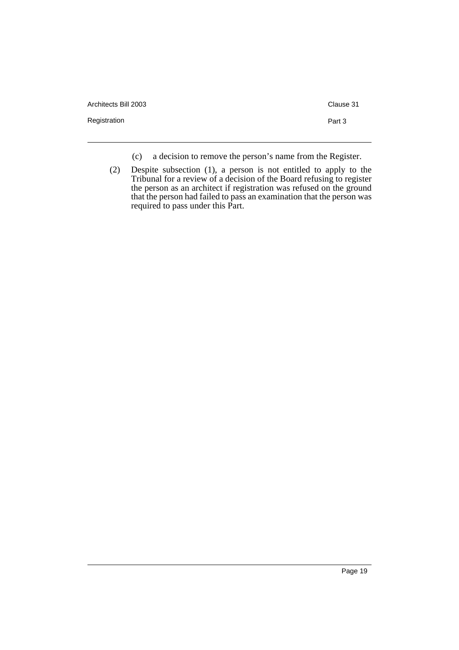Architects Bill 2003 Clause 31

Registration **Part 3** 

- (c) a decision to remove the person's name from the Register.
- (2) Despite subsection (1), a person is not entitled to apply to the Tribunal for a review of a decision of the Board refusing to register the person as an architect if registration was refused on the ground that the person had failed to pass an examination that the person was required to pass under this Part.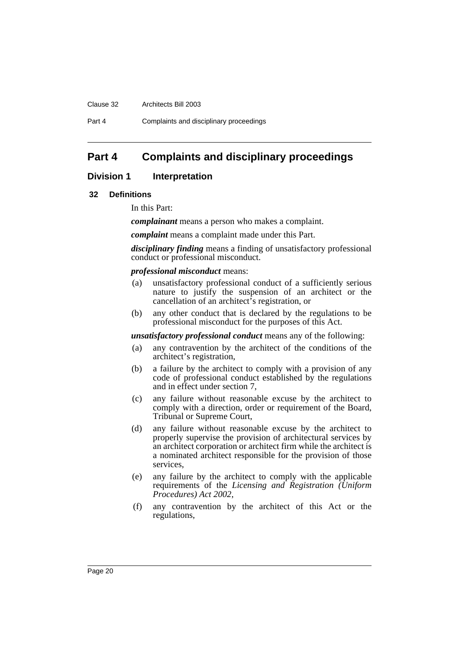#### Clause 32 Architects Bill 2003

Part 4 Complaints and disciplinary proceedings

# <span id="page-24-0"></span>**Part 4 Complaints and disciplinary proceedings**

# <span id="page-24-1"></span>**Division 1** Interpretation

#### <span id="page-24-2"></span>**32 Definitions**

In this Part:

*complainant* means a person who makes a complaint.

*complaint* means a complaint made under this Part.

*disciplinary finding* means a finding of unsatisfactory professional conduct or professional misconduct.

#### *professional misconduct* means:

- (a) unsatisfactory professional conduct of a sufficiently serious nature to justify the suspension of an architect or the cancellation of an architect's registration, or
- (b) any other conduct that is declared by the regulations to be professional misconduct for the purposes of this Act.

*unsatisfactory professional conduct* means any of the following:

- (a) any contravention by the architect of the conditions of the architect's registration,
- (b) a failure by the architect to comply with a provision of any code of professional conduct established by the regulations and in effect under section 7,
- (c) any failure without reasonable excuse by the architect to comply with a direction, order or requirement of the Board, Tribunal or Supreme Court,
- (d) any failure without reasonable excuse by the architect to properly supervise the provision of architectural services by an architect corporation or architect firm while the architect is a nominated architect responsible for the provision of those services,
- (e) any failure by the architect to comply with the applicable requirements of the *Licensing and Registration (Uniform Procedures) Act 2002*,
- (f) any contravention by the architect of this Act or the regulations,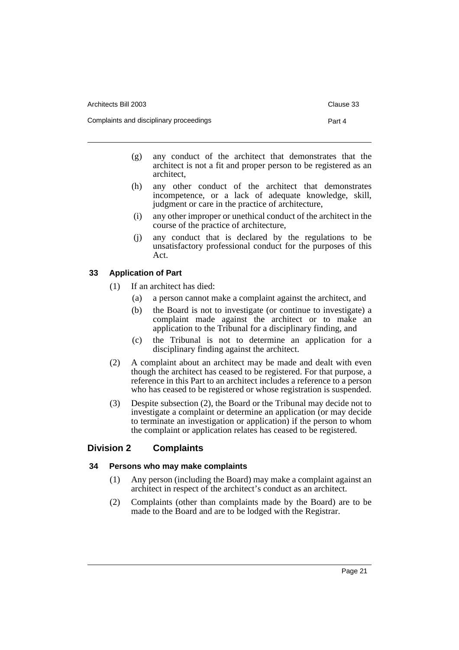Architects Bill 2003 **Clause 33** 

- (g) any conduct of the architect that demonstrates that the architect is not a fit and proper person to be registered as an architect,
- (h) any other conduct of the architect that demonstrates incompetence, or a lack of adequate knowledge, skill, judgment or care in the practice of architecture,
- (i) any other improper or unethical conduct of the architect in the course of the practice of architecture,
- (j) any conduct that is declared by the regulations to be unsatisfactory professional conduct for the purposes of this Act.

### <span id="page-25-0"></span>**33 Application of Part**

- (1) If an architect has died:
	- (a) a person cannot make a complaint against the architect, and
	- (b) the Board is not to investigate (or continue to investigate) a complaint made against the architect or to make an application to the Tribunal for a disciplinary finding, and
	- (c) the Tribunal is not to determine an application for a disciplinary finding against the architect.
- (2) A complaint about an architect may be made and dealt with even though the architect has ceased to be registered. For that purpose, a reference in this Part to an architect includes a reference to a person who has ceased to be registered or whose registration is suspended.
- (3) Despite subsection (2), the Board or the Tribunal may decide not to investigate a complaint or determine an application (or may decide to terminate an investigation or application) if the person to whom the complaint or application relates has ceased to be registered.

# <span id="page-25-1"></span>**Division 2 Complaints**

# <span id="page-25-2"></span>**34 Persons who may make complaints**

- (1) Any person (including the Board) may make a complaint against an architect in respect of the architect's conduct as an architect.
- (2) Complaints (other than complaints made by the Board) are to be made to the Board and are to be lodged with the Registrar.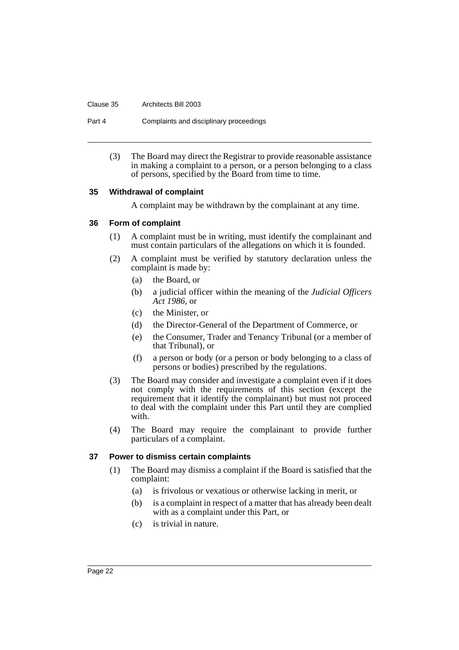Clause 35 Architects Bill 2003

Part 4 Complaints and disciplinary proceedings

(3) The Board may direct the Registrar to provide reasonable assistance in making a complaint to a person, or a person belonging to a class of persons, specified by the Board from time to time.

# <span id="page-26-0"></span>**35 Withdrawal of complaint**

A complaint may be withdrawn by the complainant at any time.

# <span id="page-26-1"></span>**36 Form of complaint**

- (1) A complaint must be in writing, must identify the complainant and must contain particulars of the allegations on which it is founded.
- (2) A complaint must be verified by statutory declaration unless the complaint is made by:
	- (a) the Board, or
	- (b) a judicial officer within the meaning of the *Judicial Officers Act 1986*, or
	- (c) the Minister, or
	- (d) the Director-General of the Department of Commerce, or
	- (e) the Consumer, Trader and Tenancy Tribunal (or a member of that Tribunal), or
	- (f) a person or body (or a person or body belonging to a class of persons or bodies) prescribed by the regulations.
- (3) The Board may consider and investigate a complaint even if it does not comply with the requirements of this section (except the requirement that it identify the complainant) but must not proceed to deal with the complaint under this Part until they are complied with.
- (4) The Board may require the complainant to provide further particulars of a complaint.

# <span id="page-26-2"></span>**37 Power to dismiss certain complaints**

- (1) The Board may dismiss a complaint if the Board is satisfied that the complaint:
	- (a) is frivolous or vexatious or otherwise lacking in merit, or
	- (b) is a complaint in respect of a matter that has already been dealt with as a complaint under this Part, or
	- (c) is trivial in nature.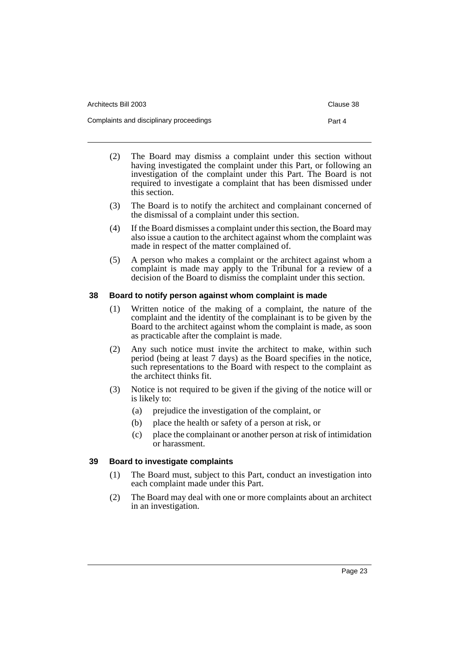| Architects Bill 2003                    | Clause 38 |
|-----------------------------------------|-----------|
| Complaints and disciplinary proceedings | Part 4    |
|                                         |           |

- (2) The Board may dismiss a complaint under this section without having investigated the complaint under this Part, or following an investigation of the complaint under this Part. The Board is not required to investigate a complaint that has been dismissed under this section.
- (3) The Board is to notify the architect and complainant concerned of the dismissal of a complaint under this section.
- (4) If the Board dismisses a complaint under this section, the Board may also issue a caution to the architect against whom the complaint was made in respect of the matter complained of.
- (5) A person who makes a complaint or the architect against whom a complaint is made may apply to the Tribunal for a review of a decision of the Board to dismiss the complaint under this section.

# <span id="page-27-0"></span>**38 Board to notify person against whom complaint is made**

- (1) Written notice of the making of a complaint, the nature of the complaint and the identity of the complainant is to be given by the Board to the architect against whom the complaint is made, as soon as practicable after the complaint is made.
- (2) Any such notice must invite the architect to make, within such period (being at least 7 days) as the Board specifies in the notice, such representations to the Board with respect to the complaint as the architect thinks fit.
- (3) Notice is not required to be given if the giving of the notice will or is likely to:
	- (a) prejudice the investigation of the complaint, or
	- (b) place the health or safety of a person at risk, or
	- (c) place the complainant or another person at risk of intimidation or harassment.

# <span id="page-27-1"></span>**39 Board to investigate complaints**

- (1) The Board must, subject to this Part, conduct an investigation into each complaint made under this Part.
- (2) The Board may deal with one or more complaints about an architect in an investigation.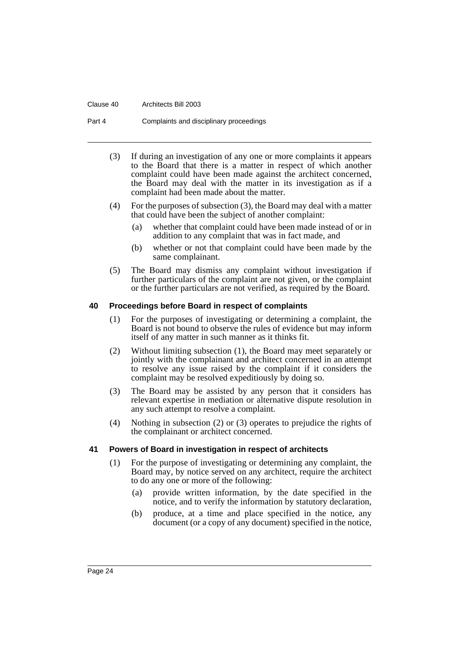#### Clause 40 Architects Bill 2003

Part 4 Complaints and disciplinary proceedings

- (3) If during an investigation of any one or more complaints it appears to the Board that there is a matter in respect of which another complaint could have been made against the architect concerned, the Board may deal with the matter in its investigation as if a complaint had been made about the matter.
- (4) For the purposes of subsection (3), the Board may deal with a matter that could have been the subject of another complaint:
	- (a) whether that complaint could have been made instead of or in addition to any complaint that was in fact made, and
	- (b) whether or not that complaint could have been made by the same complainant.
- (5) The Board may dismiss any complaint without investigation if further particulars of the complaint are not given, or the complaint or the further particulars are not verified, as required by the Board.

#### <span id="page-28-0"></span>**40 Proceedings before Board in respect of complaints**

- (1) For the purposes of investigating or determining a complaint, the Board is not bound to observe the rules of evidence but may inform itself of any matter in such manner as it thinks fit.
- (2) Without limiting subsection (1), the Board may meet separately or jointly with the complainant and architect concerned in an attempt to resolve any issue raised by the complaint if it considers the complaint may be resolved expeditiously by doing so.
- (3) The Board may be assisted by any person that it considers has relevant expertise in mediation or alternative dispute resolution in any such attempt to resolve a complaint.
- (4) Nothing in subsection (2) or (3) operates to prejudice the rights of the complainant or architect concerned.

#### <span id="page-28-1"></span>**41 Powers of Board in investigation in respect of architects**

- (1) For the purpose of investigating or determining any complaint, the Board may, by notice served on any architect, require the architect to do any one or more of the following:
	- (a) provide written information, by the date specified in the notice, and to verify the information by statutory declaration,
	- (b) produce, at a time and place specified in the notice, any document (or a copy of any document) specified in the notice,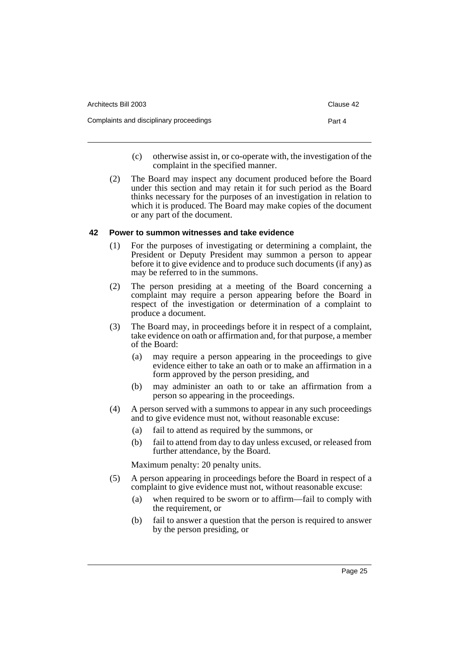| Architects Bill 2003                    | Clause 42 |
|-----------------------------------------|-----------|
| Complaints and disciplinary proceedings | Part 4    |

- (c) otherwise assist in, or co-operate with, the investigation of the complaint in the specified manner.
- (2) The Board may inspect any document produced before the Board under this section and may retain it for such period as the Board thinks necessary for the purposes of an investigation in relation to which it is produced. The Board may make copies of the document or any part of the document.

### <span id="page-29-0"></span>**42 Power to summon witnesses and take evidence**

- (1) For the purposes of investigating or determining a complaint, the President or Deputy President may summon a person to appear before it to give evidence and to produce such documents (if any) as may be referred to in the summons.
- (2) The person presiding at a meeting of the Board concerning a complaint may require a person appearing before the Board in respect of the investigation or determination of a complaint to produce a document.
- (3) The Board may, in proceedings before it in respect of a complaint, take evidence on oath or affirmation and, for that purpose, a member of the Board:
	- (a) may require a person appearing in the proceedings to give evidence either to take an oath or to make an affirmation in a form approved by the person presiding, and
	- (b) may administer an oath to or take an affirmation from a person so appearing in the proceedings.
- (4) A person served with a summons to appear in any such proceedings and to give evidence must not, without reasonable excuse:
	- (a) fail to attend as required by the summons, or
	- (b) fail to attend from day to day unless excused, or released from further attendance, by the Board.

Maximum penalty: 20 penalty units.

- (5) A person appearing in proceedings before the Board in respect of a complaint to give evidence must not, without reasonable excuse:
	- (a) when required to be sworn or to affirm—fail to comply with the requirement, or
	- (b) fail to answer a question that the person is required to answer by the person presiding, or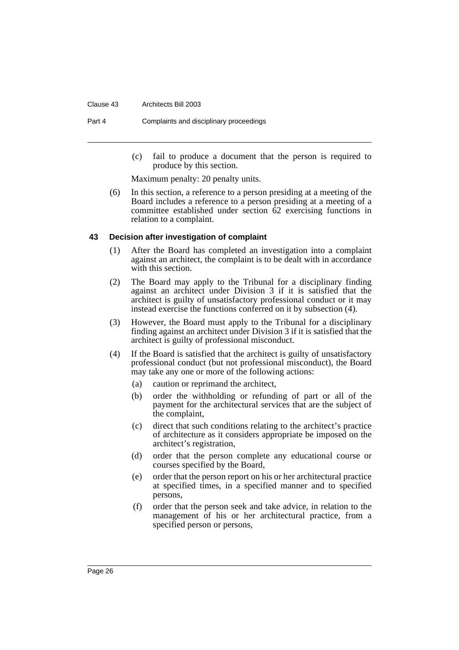#### Clause 43 Architects Bill 2003

Part 4 Complaints and disciplinary proceedings

(c) fail to produce a document that the person is required to produce by this section.

Maximum penalty: 20 penalty units.

(6) In this section, a reference to a person presiding at a meeting of the Board includes a reference to a person presiding at a meeting of a committee established under section 62 exercising functions in relation to a complaint.

#### <span id="page-30-0"></span>**43 Decision after investigation of complaint**

- (1) After the Board has completed an investigation into a complaint against an architect, the complaint is to be dealt with in accordance with this section.
- (2) The Board may apply to the Tribunal for a disciplinary finding against an architect under Division 3 if it is satisfied that the architect is guilty of unsatisfactory professional conduct or it may instead exercise the functions conferred on it by subsection (4).
- (3) However, the Board must apply to the Tribunal for a disciplinary finding against an architect under Division 3 if it is satisfied that the architect is guilty of professional misconduct.
- (4) If the Board is satisfied that the architect is guilty of unsatisfactory professional conduct (but not professional misconduct), the Board may take any one or more of the following actions:
	- (a) caution or reprimand the architect,
	- (b) order the withholding or refunding of part or all of the payment for the architectural services that are the subject of the complaint,
	- (c) direct that such conditions relating to the architect's practice of architecture as it considers appropriate be imposed on the architect's registration,
	- (d) order that the person complete any educational course or courses specified by the Board,
	- (e) order that the person report on his or her architectural practice at specified times, in a specified manner and to specified persons,
	- (f) order that the person seek and take advice, in relation to the management of his or her architectural practice, from a specified person or persons,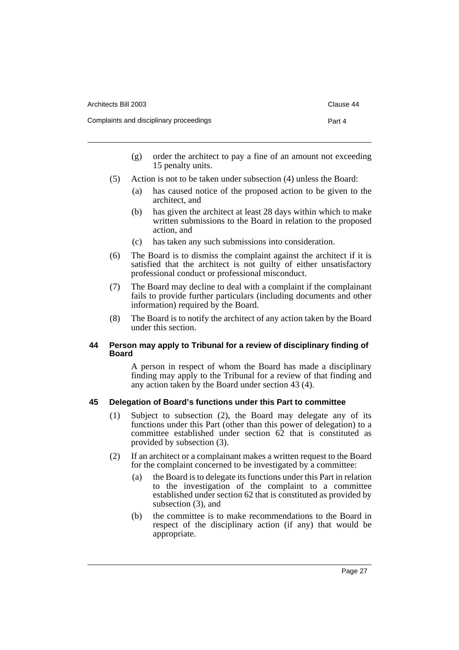| Architects Bill 2003                    | Clause 44 |
|-----------------------------------------|-----------|
| Complaints and disciplinary proceedings | Part 4    |

- (g) order the architect to pay a fine of an amount not exceeding 15 penalty units.
- (5) Action is not to be taken under subsection (4) unless the Board:
	- (a) has caused notice of the proposed action to be given to the architect, and
	- (b) has given the architect at least 28 days within which to make written submissions to the Board in relation to the proposed action, and
	- (c) has taken any such submissions into consideration.
- (6) The Board is to dismiss the complaint against the architect if it is satisfied that the architect is not guilty of either unsatisfactory professional conduct or professional misconduct.
- (7) The Board may decline to deal with a complaint if the complainant fails to provide further particulars (including documents and other information) required by the Board.
- (8) The Board is to notify the architect of any action taken by the Board under this section.

# <span id="page-31-0"></span>**44 Person may apply to Tribunal for a review of disciplinary finding of Board**

A person in respect of whom the Board has made a disciplinary finding may apply to the Tribunal for a review of that finding and any action taken by the Board under section 43 (4).

# <span id="page-31-1"></span>**45 Delegation of Board's functions under this Part to committee**

- (1) Subject to subsection (2), the Board may delegate any of its functions under this Part (other than this power of delegation) to a committee established under section 62 that is constituted as provided by subsection (3).
- (2) If an architect or a complainant makes a written request to the Board for the complaint concerned to be investigated by a committee:
	- (a) the Board is to delegate its functions under this Part in relation to the investigation of the complaint to a committee established under section 62 that is constituted as provided by subsection (3), and
	- (b) the committee is to make recommendations to the Board in respect of the disciplinary action (if any) that would be appropriate.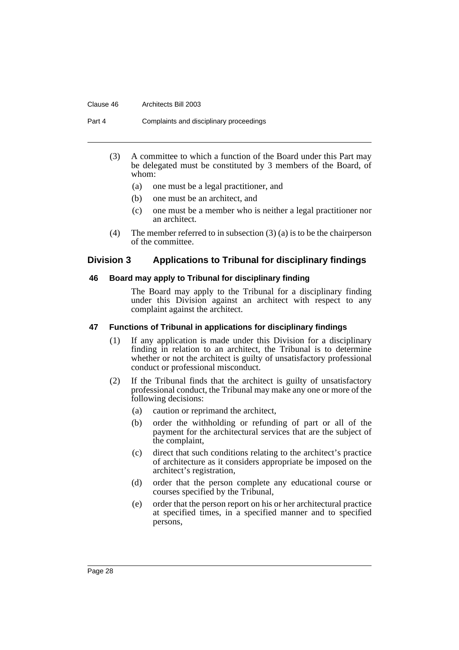#### Clause 46 Architects Bill 2003

Part 4 Complaints and disciplinary proceedings

- (3) A committee to which a function of the Board under this Part may be delegated must be constituted by 3 members of the Board, of whom:
	- (a) one must be a legal practitioner, and
	- (b) one must be an architect, and
	- (c) one must be a member who is neither a legal practitioner nor an architect.
- (4) The member referred to in subsection  $(3)$  (a) is to be the chairperson of the committee.

# <span id="page-32-0"></span>**Division 3 Applications to Tribunal for disciplinary findings**

### <span id="page-32-1"></span>**46 Board may apply to Tribunal for disciplinary finding**

The Board may apply to the Tribunal for a disciplinary finding under this Division against an architect with respect to any complaint against the architect.

#### <span id="page-32-2"></span>**47 Functions of Tribunal in applications for disciplinary findings**

- (1) If any application is made under this Division for a disciplinary finding in relation to an architect, the Tribunal is to determine whether or not the architect is guilty of unsatisfactory professional conduct or professional misconduct.
- (2) If the Tribunal finds that the architect is guilty of unsatisfactory professional conduct, the Tribunal may make any one or more of the following decisions:
	- (a) caution or reprimand the architect,
	- (b) order the withholding or refunding of part or all of the payment for the architectural services that are the subject of the complaint,
	- (c) direct that such conditions relating to the architect's practice of architecture as it considers appropriate be imposed on the architect's registration,
	- (d) order that the person complete any educational course or courses specified by the Tribunal,
	- (e) order that the person report on his or her architectural practice at specified times, in a specified manner and to specified persons,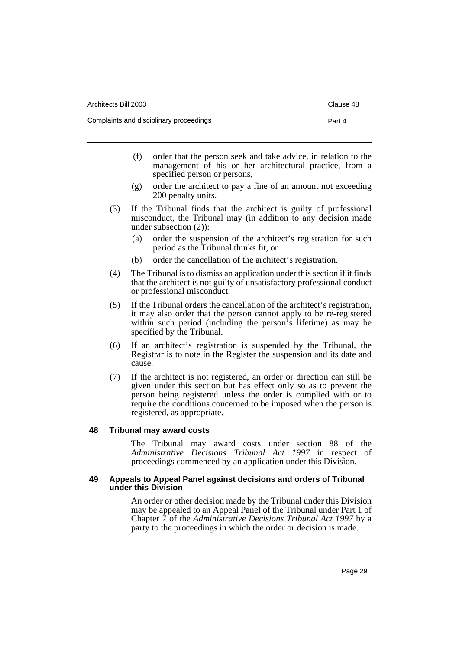| Architects Bill 2003                    | Clause 48 |
|-----------------------------------------|-----------|
| Complaints and disciplinary proceedings | Part 4    |
|                                         |           |

- (f) order that the person seek and take advice, in relation to the management of his or her architectural practice, from a specified person or persons,
- (g) order the architect to pay a fine of an amount not exceeding 200 penalty units.
- (3) If the Tribunal finds that the architect is guilty of professional misconduct, the Tribunal may (in addition to any decision made under subsection (2)):
	- (a) order the suspension of the architect's registration for such period as the Tribunal thinks fit, or
	- (b) order the cancellation of the architect's registration.
- (4) The Tribunal is to dismiss an application under this section if it finds that the architect is not guilty of unsatisfactory professional conduct or professional misconduct.
- (5) If the Tribunal orders the cancellation of the architect's registration, it may also order that the person cannot apply to be re-registered within such period (including the person's lifetime) as may be specified by the Tribunal.
- (6) If an architect's registration is suspended by the Tribunal, the Registrar is to note in the Register the suspension and its date and cause.
- (7) If the architect is not registered, an order or direction can still be given under this section but has effect only so as to prevent the person being registered unless the order is complied with or to require the conditions concerned to be imposed when the person is registered, as appropriate.

# <span id="page-33-0"></span>**48 Tribunal may award costs**

The Tribunal may award costs under section 88 of the *Administrative Decisions Tribunal Act 1997* in respect of proceedings commenced by an application under this Division.

### <span id="page-33-1"></span>**49 Appeals to Appeal Panel against decisions and orders of Tribunal under this Division**

An order or other decision made by the Tribunal under this Division may be appealed to an Appeal Panel of the Tribunal under Part 1 of Chapter 7 of the *Administrative Decisions Tribunal Act 1997* by a party to the proceedings in which the order or decision is made.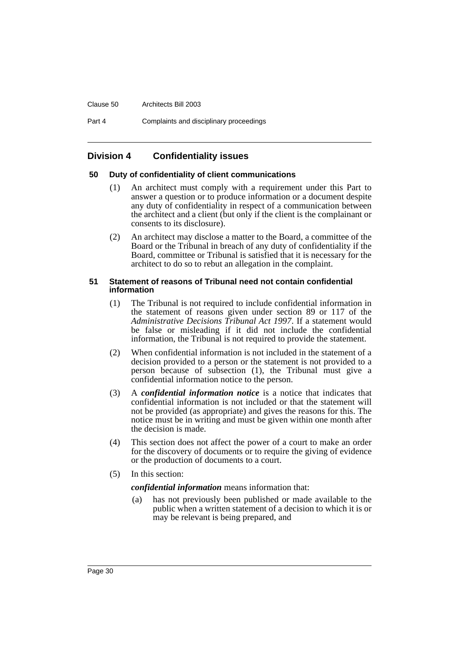#### Clause 50 Architects Bill 2003

Part 4 Complaints and disciplinary proceedings

# <span id="page-34-0"></span>**Division 4 Confidentiality issues**

### <span id="page-34-1"></span>**50 Duty of confidentiality of client communications**

- (1) An architect must comply with a requirement under this Part to answer a question or to produce information or a document despite any duty of confidentiality in respect of a communication between the architect and a client (but only if the client is the complainant or consents to its disclosure).
- (2) An architect may disclose a matter to the Board, a committee of the Board or the Tribunal in breach of any duty of confidentiality if the Board, committee or Tribunal is satisfied that it is necessary for the architect to do so to rebut an allegation in the complaint.

### <span id="page-34-2"></span>**51 Statement of reasons of Tribunal need not contain confidential information**

- (1) The Tribunal is not required to include confidential information in the statement of reasons given under section 89 or 117 of the *Administrative Decisions Tribunal Act 1997*. If a statement would be false or misleading if it did not include the confidential information, the Tribunal is not required to provide the statement.
- (2) When confidential information is not included in the statement of a decision provided to a person or the statement is not provided to a person because of subsection (1), the Tribunal must give a confidential information notice to the person.
- (3) A *confidential information notice* is a notice that indicates that confidential information is not included or that the statement will not be provided (as appropriate) and gives the reasons for this. The notice must be in writing and must be given within one month after the decision is made.
- (4) This section does not affect the power of a court to make an order for the discovery of documents or to require the giving of evidence or the production of documents to a court.
- (5) In this section:

#### *confidential information* means information that:

(a) has not previously been published or made available to the public when a written statement of a decision to which it is or may be relevant is being prepared, and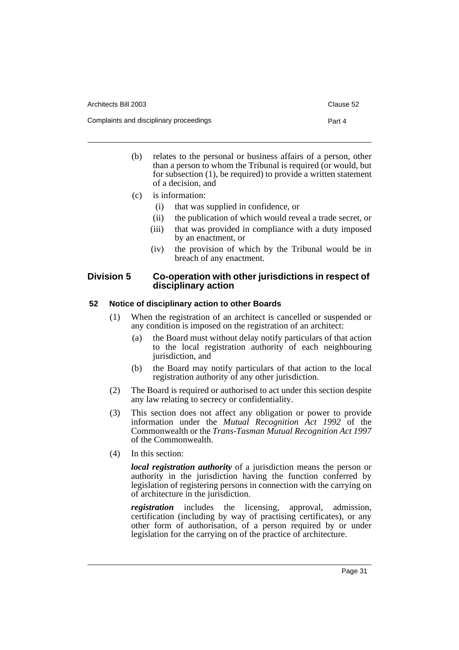| legislation of registering persons in connection with the carrying on |  |
|-----------------------------------------------------------------------|--|
| of architecture in the jurisdiction.                                  |  |

Page 31

*registration* includes the licensing, approval, admission, certification (including by way of practising certificates), or any other form of authorisation, of a person required by or under legislation for the carrying on of the practice of architecture.

*local registration authority* of a jurisdiction means the person or authority in the jurisdiction having the function conferred by

of a decision, and

- (c) is information:
	- (i) that was supplied in confidence, or
	- (ii) the publication of which would reveal a trade secret, or
	- (iii) that was provided in compliance with a duty imposed by an enactment, or
	- (iv) the provision of which by the Tribunal would be in breach of any enactment.

# <span id="page-35-0"></span>**Division 5 Co-operation with other jurisdictions in respect of disciplinary action**

# <span id="page-35-1"></span>**52 Notice of disciplinary action to other Boards**

- (1) When the registration of an architect is cancelled or suspended or any condition is imposed on the registration of an architect:
	- (a) the Board must without delay notify particulars of that action to the local registration authority of each neighbouring jurisdiction, and
	- (b) the Board may notify particulars of that action to the local registration authority of any other jurisdiction.
- (2) The Board is required or authorised to act under this section despite any law relating to secrecy or confidentiality.
- (3) This section does not affect any obligation or power to provide information under the *Mutual Recognition Act 1992* of the Commonwealth or the *Trans-Tasman Mutual Recognition Act 1997* of the Commonwealth.
- (4) In this section:

(b) relates to the personal or business affairs of a person, other than a person to whom the Tribunal is required (or would, but for subsection (1), be required) to provide a written statement

- -
	-
	-
	-

Architects Bill 2003 **Clause 52**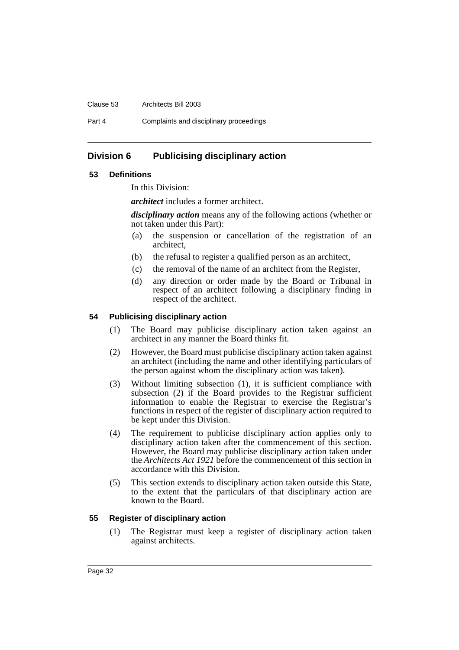#### Clause 53 Architects Bill 2003

Part 4 Complaints and disciplinary proceedings

# <span id="page-36-0"></span>**Division 6 Publicising disciplinary action**

# <span id="page-36-1"></span>**53 Definitions**

In this Division:

*architect* includes a former architect.

*disciplinary action* means any of the following actions (whether or not taken under this Part):

- (a) the suspension or cancellation of the registration of an architect,
- (b) the refusal to register a qualified person as an architect,
- (c) the removal of the name of an architect from the Register,
- (d) any direction or order made by the Board or Tribunal in respect of an architect following a disciplinary finding in respect of the architect.

# <span id="page-36-2"></span>**54 Publicising disciplinary action**

- (1) The Board may publicise disciplinary action taken against an architect in any manner the Board thinks fit.
- (2) However, the Board must publicise disciplinary action taken against an architect (including the name and other identifying particulars of the person against whom the disciplinary action was taken).
- (3) Without limiting subsection (1), it is sufficient compliance with subsection (2) if the Board provides to the Registrar sufficient information to enable the Registrar to exercise the Registrar's functions in respect of the register of disciplinary action required to be kept under this Division.
- (4) The requirement to publicise disciplinary action applies only to disciplinary action taken after the commencement of this section. However, the Board may publicise disciplinary action taken under the *Architects Act 1921* before the commencement of this section in accordance with this Division.
- (5) This section extends to disciplinary action taken outside this State, to the extent that the particulars of that disciplinary action are known to the Board.

# <span id="page-36-3"></span>**55 Register of disciplinary action**

(1) The Registrar must keep a register of disciplinary action taken against architects.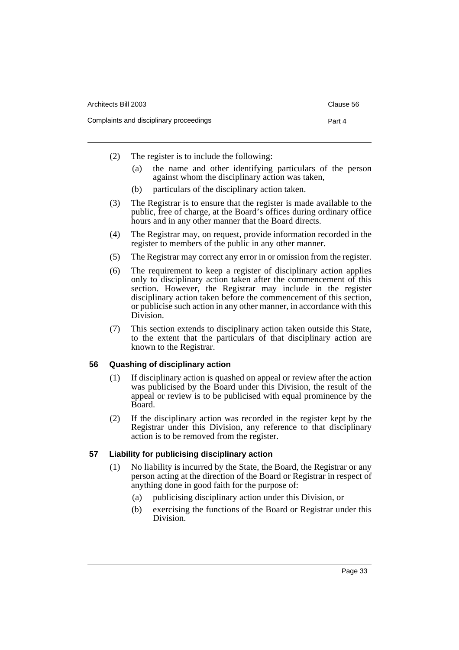| Architects Bill 2003                    | Clause 56 |
|-----------------------------------------|-----------|
| Complaints and disciplinary proceedings | Part 4    |

- (2) The register is to include the following:
	- (a) the name and other identifying particulars of the person against whom the disciplinary action was taken,
	- (b) particulars of the disciplinary action taken.
- (3) The Registrar is to ensure that the register is made available to the public, free of charge, at the Board's offices during ordinary office hours and in any other manner that the Board directs.
- (4) The Registrar may, on request, provide information recorded in the register to members of the public in any other manner.
- (5) The Registrar may correct any error in or omission from the register.
- (6) The requirement to keep a register of disciplinary action applies only to disciplinary action taken after the commencement of this section. However, the Registrar may include in the register disciplinary action taken before the commencement of this section, or publicise such action in any other manner, in accordance with this Division.
- (7) This section extends to disciplinary action taken outside this State, to the extent that the particulars of that disciplinary action are known to the Registrar.

# <span id="page-37-0"></span>**56 Quashing of disciplinary action**

- (1) If disciplinary action is quashed on appeal or review after the action was publicised by the Board under this Division, the result of the appeal or review is to be publicised with equal prominence by the Board.
- (2) If the disciplinary action was recorded in the register kept by the Registrar under this Division, any reference to that disciplinary action is to be removed from the register.

# <span id="page-37-1"></span>**57 Liability for publicising disciplinary action**

- (1) No liability is incurred by the State, the Board, the Registrar or any person acting at the direction of the Board or Registrar in respect of anything done in good faith for the purpose of:
	- (a) publicising disciplinary action under this Division, or
	- (b) exercising the functions of the Board or Registrar under this Division.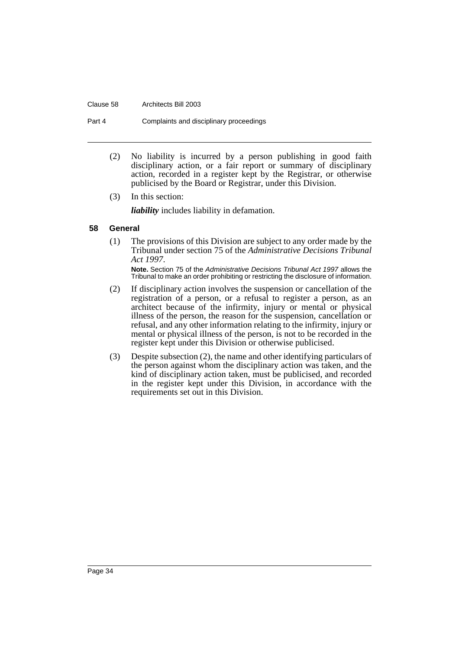#### Clause 58 Architects Bill 2003

Part 4 Complaints and disciplinary proceedings

- (2) No liability is incurred by a person publishing in good faith disciplinary action, or a fair report or summary of disciplinary action, recorded in a register kept by the Registrar, or otherwise publicised by the Board or Registrar, under this Division.
- (3) In this section:

*liability* includes liability in defamation.

### <span id="page-38-0"></span>**58 General**

(1) The provisions of this Division are subject to any order made by the Tribunal under section 75 of the *Administrative Decisions Tribunal Act 1997*.

**Note.** Section 75 of the Administrative Decisions Tribunal Act 1997 allows the Tribunal to make an order prohibiting or restricting the disclosure of information.

- (2) If disciplinary action involves the suspension or cancellation of the registration of a person, or a refusal to register a person, as an architect because of the infirmity, injury or mental or physical illness of the person, the reason for the suspension, cancellation or refusal, and any other information relating to the infirmity, injury or mental or physical illness of the person, is not to be recorded in the register kept under this Division or otherwise publicised.
- (3) Despite subsection (2), the name and other identifying particulars of the person against whom the disciplinary action was taken, and the kind of disciplinary action taken, must be publicised, and recorded in the register kept under this Division, in accordance with the requirements set out in this Division.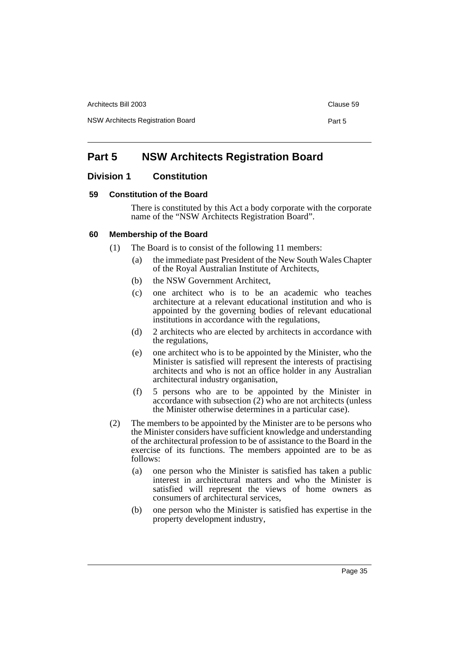Architects Bill 2003 **Clause 59** Clause 59

NSW Architects Registration Board **Part 5** 

# <span id="page-39-0"></span>**Part 5 NSW Architects Registration Board**

# <span id="page-39-1"></span>**Division 1 Constitution**

# <span id="page-39-2"></span>**59 Constitution of the Board**

There is constituted by this Act a body corporate with the corporate name of the "NSW Architects Registration Board".

# <span id="page-39-3"></span>**60 Membership of the Board**

- (1) The Board is to consist of the following 11 members:
	- (a) the immediate past President of the New South Wales Chapter of the Royal Australian Institute of Architects,
	- (b) the NSW Government Architect,
	- (c) one architect who is to be an academic who teaches architecture at a relevant educational institution and who is appointed by the governing bodies of relevant educational institutions in accordance with the regulations,
	- (d) 2 architects who are elected by architects in accordance with the regulations,
	- (e) one architect who is to be appointed by the Minister, who the Minister is satisfied will represent the interests of practising architects and who is not an office holder in any Australian architectural industry organisation,
	- (f) 5 persons who are to be appointed by the Minister in accordance with subsection (2) who are not architects (unless the Minister otherwise determines in a particular case).
- (2) The members to be appointed by the Minister are to be persons who the Minister considers have sufficient knowledge and understanding of the architectural profession to be of assistance to the Board in the exercise of its functions. The members appointed are to be as follows:
	- (a) one person who the Minister is satisfied has taken a public interest in architectural matters and who the Minister is satisfied will represent the views of home owners as consumers of architectural services,
	- (b) one person who the Minister is satisfied has expertise in the property development industry,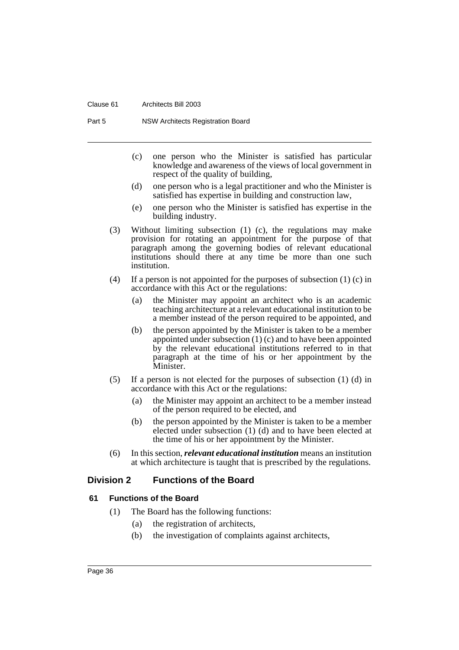#### Clause 61 Architects Bill 2003

Part 5 NSW Architects Registration Board

- (c) one person who the Minister is satisfied has particular knowledge and awareness of the views of local government in respect of the quality of building,
- (d) one person who is a legal practitioner and who the Minister is satisfied has expertise in building and construction law,
- (e) one person who the Minister is satisfied has expertise in the building industry.
- (3) Without limiting subsection (1) (c), the regulations may make provision for rotating an appointment for the purpose of that paragraph among the governing bodies of relevant educational institutions should there at any time be more than one such institution.
- (4) If a person is not appointed for the purposes of subsection (1) (c) in accordance with this Act or the regulations:
	- (a) the Minister may appoint an architect who is an academic teaching architecture at a relevant educational institution to be a member instead of the person required to be appointed, and
	- (b) the person appointed by the Minister is taken to be a member appointed under subsection (1) (c) and to have been appointed by the relevant educational institutions referred to in that paragraph at the time of his or her appointment by the Minister.
- (5) If a person is not elected for the purposes of subsection (1) (d) in accordance with this Act or the regulations:
	- (a) the Minister may appoint an architect to be a member instead of the person required to be elected, and
	- (b) the person appointed by the Minister is taken to be a member elected under subsection (1) (d) and to have been elected at the time of his or her appointment by the Minister.
- (6) In this section, *relevant educational institution* means an institution at which architecture is taught that is prescribed by the regulations.

# <span id="page-40-0"></span>**Division 2 Functions of the Board**

# <span id="page-40-1"></span>**61 Functions of the Board**

- (1) The Board has the following functions:
	- (a) the registration of architects,
	- (b) the investigation of complaints against architects,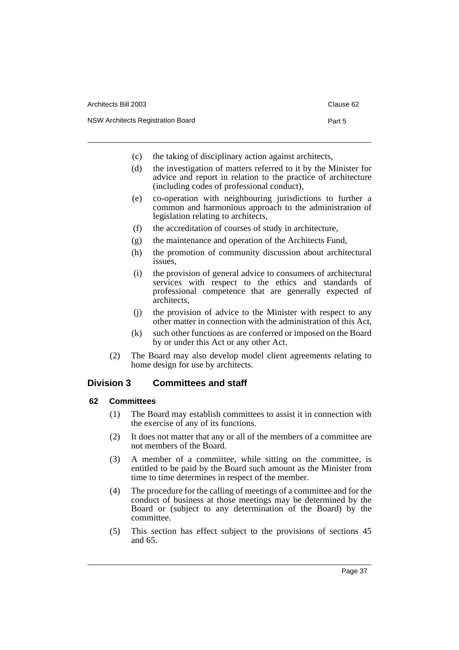| Architects Bill 2003              | Clause 62 |
|-----------------------------------|-----------|
| NSW Architects Registration Board | Part 5    |

- (c) the taking of disciplinary action against architects,
- (d) the investigation of matters referred to it by the Minister for advice and report in relation to the practice of architecture (including codes of professional conduct),
- (e) co-operation with neighbouring jurisdictions to further a common and harmonious approach to the administration of legislation relating to architects,
- (f) the accreditation of courses of study in architecture,
- (g) the maintenance and operation of the Architects Fund,
- (h) the promotion of community discussion about architectural issues,
- (i) the provision of general advice to consumers of architectural services with respect to the ethics and standards of professional competence that are generally expected of architects,
- (j) the provision of advice to the Minister with respect to any other matter in connection with the administration of this Act,
- (k) such other functions as are conferred or imposed on the Board by or under this Act or any other Act.
- (2) The Board may also develop model client agreements relating to home design for use by architects.

# <span id="page-41-0"></span>**Division 3 Committees and staff**

# <span id="page-41-1"></span>**62 Committees**

- (1) The Board may establish committees to assist it in connection with the exercise of any of its functions.
- (2) It does not matter that any or all of the members of a committee are not members of the Board.
- (3) A member of a committee, while sitting on the committee, is entitled to be paid by the Board such amount as the Minister from time to time determines in respect of the member.
- (4) The procedure for the calling of meetings of a committee and for the conduct of business at those meetings may be determined by the Board or (subject to any determination of the Board) by the committee.
- (5) This section has effect subject to the provisions of sections 45 and 65.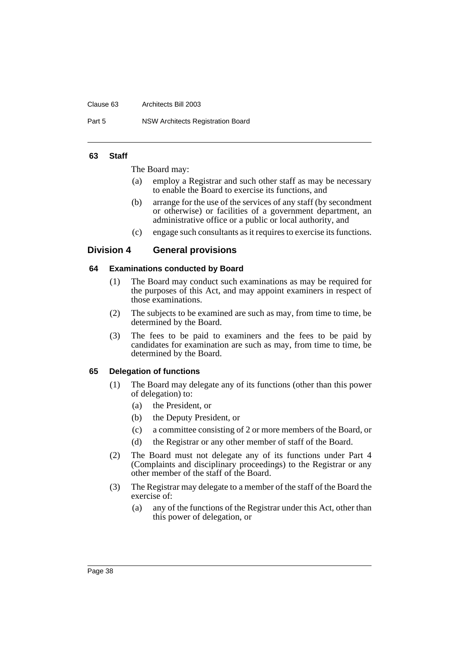#### Clause 63 Architects Bill 2003

Part 5 NSW Architects Registration Board

### <span id="page-42-0"></span>**63 Staff**

The Board may:

- (a) employ a Registrar and such other staff as may be necessary to enable the Board to exercise its functions, and
- (b) arrange for the use of the services of any staff (by secondment or otherwise) or facilities of a government department, an administrative office or a public or local authority, and
- (c) engage such consultants as it requires to exercise its functions.

# <span id="page-42-1"></span>**Division 4 General provisions**

# <span id="page-42-2"></span>**64 Examinations conducted by Board**

- (1) The Board may conduct such examinations as may be required for the purposes of this Act, and may appoint examiners in respect of those examinations.
- (2) The subjects to be examined are such as may, from time to time, be determined by the Board.
- (3) The fees to be paid to examiners and the fees to be paid by candidates for examination are such as may, from time to time, be determined by the Board.

# <span id="page-42-3"></span>**65 Delegation of functions**

- (1) The Board may delegate any of its functions (other than this power of delegation) to:
	- (a) the President, or
	- (b) the Deputy President, or
	- (c) a committee consisting of 2 or more members of the Board, or
	- (d) the Registrar or any other member of staff of the Board.
- (2) The Board must not delegate any of its functions under Part 4 (Complaints and disciplinary proceedings) to the Registrar or any other member of the staff of the Board.
- (3) The Registrar may delegate to a member of the staff of the Board the exercise of:
	- (a) any of the functions of the Registrar under this Act, other than this power of delegation, or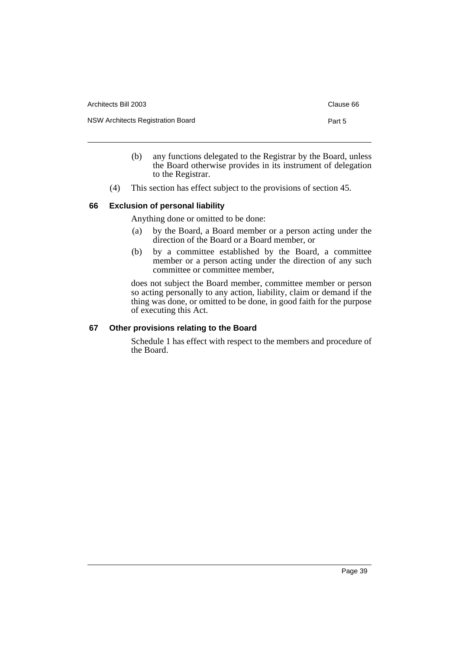| Architects Bill 2003              | Clause 66 |
|-----------------------------------|-----------|
| NSW Architects Registration Board | Part 5    |

- (b) any functions delegated to the Registrar by the Board, unless the Board otherwise provides in its instrument of delegation to the Registrar.
- (4) This section has effect subject to the provisions of section 45.

# <span id="page-43-0"></span>**66 Exclusion of personal liability**

Anything done or omitted to be done:

- (a) by the Board, a Board member or a person acting under the direction of the Board or a Board member, or
- (b) by a committee established by the Board, a committee member or a person acting under the direction of any such committee or committee member,

does not subject the Board member, committee member or person so acting personally to any action, liability, claim or demand if the thing was done, or omitted to be done, in good faith for the purpose of executing this Act.

# <span id="page-43-1"></span>**67 Other provisions relating to the Board**

Schedule 1 has effect with respect to the members and procedure of the Board.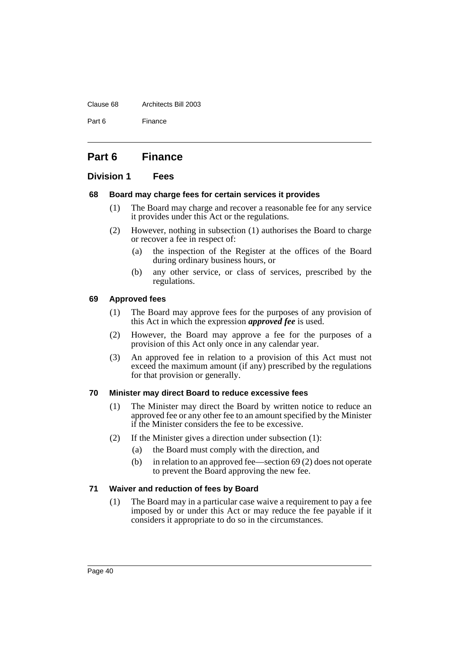#### Clause 68 Architects Bill 2003

Part 6 Finance

# <span id="page-44-0"></span>**Part 6 Finance**

# <span id="page-44-1"></span>**Division 1 Fees**

# <span id="page-44-2"></span>**68 Board may charge fees for certain services it provides**

- (1) The Board may charge and recover a reasonable fee for any service it provides under this Act or the regulations.
- (2) However, nothing in subsection (1) authorises the Board to charge or recover a fee in respect of:
	- (a) the inspection of the Register at the offices of the Board during ordinary business hours, or
	- (b) any other service, or class of services, prescribed by the regulations.

# <span id="page-44-3"></span>**69 Approved fees**

- (1) The Board may approve fees for the purposes of any provision of this Act in which the expression *approved fee* is used.
- (2) However, the Board may approve a fee for the purposes of a provision of this Act only once in any calendar year.
- (3) An approved fee in relation to a provision of this Act must not exceed the maximum amount (if any) prescribed by the regulations for that provision or generally.

# <span id="page-44-4"></span>**70 Minister may direct Board to reduce excessive fees**

- (1) The Minister may direct the Board by written notice to reduce an approved fee or any other fee to an amount specified by the Minister if the Minister considers the fee to be excessive.
- (2) If the Minister gives a direction under subsection (1):
	- (a) the Board must comply with the direction, and
	- (b) in relation to an approved fee—section 69 (2) does not operate to prevent the Board approving the new fee.

# <span id="page-44-5"></span>**71 Waiver and reduction of fees by Board**

(1) The Board may in a particular case waive a requirement to pay a fee imposed by or under this Act or may reduce the fee payable if it considers it appropriate to do so in the circumstances.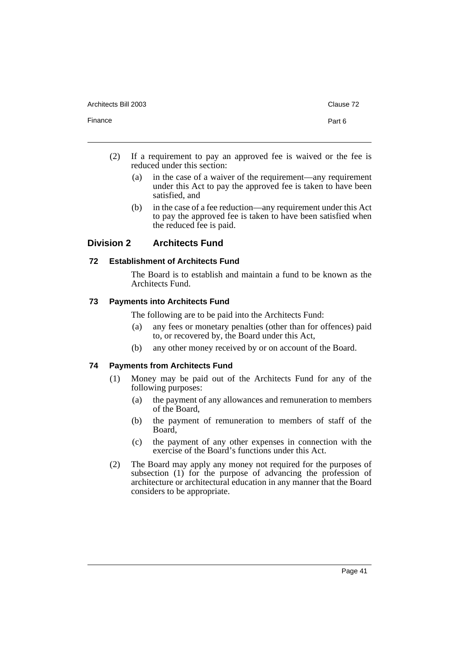Architects Bill 2003 **Clause 72** Clause 72

Finance **Part 6** 

- 
- (2) If a requirement to pay an approved fee is waived or the fee is reduced under this section:
	- (a) in the case of a waiver of the requirement—any requirement under this Act to pay the approved fee is taken to have been satisfied, and
	- (b) in the case of a fee reduction—any requirement under this Act to pay the approved fee is taken to have been satisfied when the reduced fee is paid.

# <span id="page-45-0"></span>**Division 2 Architects Fund**

# <span id="page-45-1"></span>**72 Establishment of Architects Fund**

The Board is to establish and maintain a fund to be known as the Architects Fund.

# <span id="page-45-2"></span>**73 Payments into Architects Fund**

The following are to be paid into the Architects Fund:

- (a) any fees or monetary penalties (other than for offences) paid to, or recovered by, the Board under this Act,
- (b) any other money received by or on account of the Board.

# <span id="page-45-3"></span>**74 Payments from Architects Fund**

- (1) Money may be paid out of the Architects Fund for any of the following purposes:
	- (a) the payment of any allowances and remuneration to members of the Board,
	- (b) the payment of remuneration to members of staff of the Board,
	- (c) the payment of any other expenses in connection with the exercise of the Board's functions under this Act.
- (2) The Board may apply any money not required for the purposes of subsection (1) for the purpose of advancing the profession of architecture or architectural education in any manner that the Board considers to be appropriate.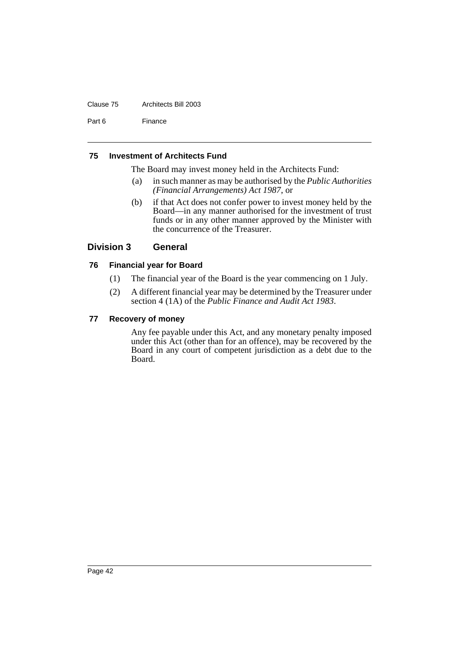#### Clause 75 Architects Bill 2003

Part 6 Finance

### <span id="page-46-0"></span>**75 Investment of Architects Fund**

The Board may invest money held in the Architects Fund:

- (a) in such manner as may be authorised by the *Public Authorities (Financial Arrangements) Act 1987*, or
- (b) if that Act does not confer power to invest money held by the Board—in any manner authorised for the investment of trust funds or in any other manner approved by the Minister with the concurrence of the Treasurer.

# <span id="page-46-1"></span>**Division 3 General**

# <span id="page-46-2"></span>**76 Financial year for Board**

- (1) The financial year of the Board is the year commencing on 1 July.
- (2) A different financial year may be determined by the Treasurer under section 4 (1A) of the *Public Finance and Audit Act 1983*.

# <span id="page-46-3"></span>**77 Recovery of money**

Any fee payable under this Act, and any monetary penalty imposed under this Act (other than for an offence), may be recovered by the Board in any court of competent jurisdiction as a debt due to the Board.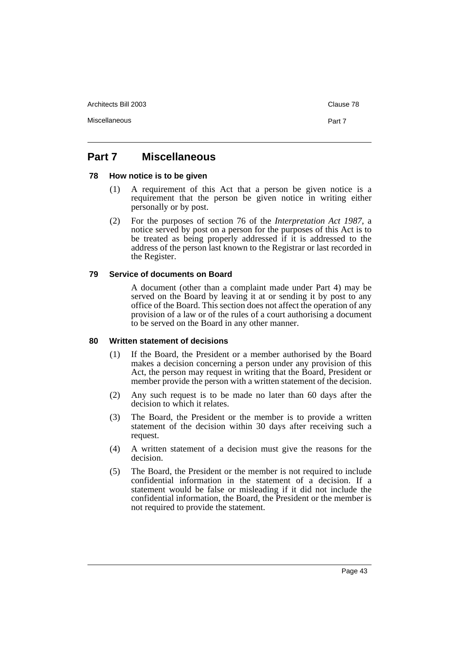Architects Bill 2003 **Clause 78** 

Miscellaneous Part 7

# <span id="page-47-0"></span>**Part 7 Miscellaneous**

### <span id="page-47-1"></span>**78 How notice is to be given**

- (1) A requirement of this Act that a person be given notice is a requirement that the person be given notice in writing either personally or by post.
- (2) For the purposes of section 76 of the *Interpretation Act 1987*, a notice served by post on a person for the purposes of this Act is to be treated as being properly addressed if it is addressed to the address of the person last known to the Registrar or last recorded in the Register.

# <span id="page-47-2"></span>**79 Service of documents on Board**

A document (other than a complaint made under Part 4) may be served on the Board by leaving it at or sending it by post to any office of the Board. This section does not affect the operation of any provision of a law or of the rules of a court authorising a document to be served on the Board in any other manner.

#### <span id="page-47-3"></span>**80 Written statement of decisions**

- (1) If the Board, the President or a member authorised by the Board makes a decision concerning a person under any provision of this Act, the person may request in writing that the Board, President or member provide the person with a written statement of the decision.
- (2) Any such request is to be made no later than 60 days after the decision to which it relates.
- (3) The Board, the President or the member is to provide a written statement of the decision within 30 days after receiving such a request.
- (4) A written statement of a decision must give the reasons for the decision.
- (5) The Board, the President or the member is not required to include confidential information in the statement of a decision. If a statement would be false or misleading if it did not include the confidential information, the Board, the President or the member is not required to provide the statement.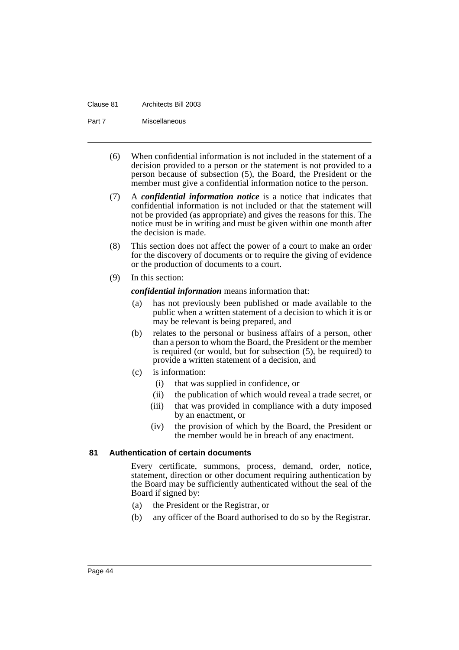#### Clause 81 Architects Bill 2003

Part 7 Miscellaneous

- (6) When confidential information is not included in the statement of a decision provided to a person or the statement is not provided to a person because of subsection (5), the Board, the President or the member must give a confidential information notice to the person.
- (7) A *confidential information notice* is a notice that indicates that confidential information is not included or that the statement will not be provided (as appropriate) and gives the reasons for this. The notice must be in writing and must be given within one month after the decision is made.
- (8) This section does not affect the power of a court to make an order for the discovery of documents or to require the giving of evidence or the production of documents to a court.
- (9) In this section:

*confidential information* means information that:

- (a) has not previously been published or made available to the public when a written statement of a decision to which it is or may be relevant is being prepared, and
- (b) relates to the personal or business affairs of a person, other than a person to whom the Board, the President or the member is required (or would, but for subsection (5), be required) to provide a written statement of a decision, and
- (c) is information:
	- (i) that was supplied in confidence, or
	- (ii) the publication of which would reveal a trade secret, or
	- (iii) that was provided in compliance with a duty imposed by an enactment, or
	- (iv) the provision of which by the Board, the President or the member would be in breach of any enactment.

# <span id="page-48-0"></span>**81 Authentication of certain documents**

Every certificate, summons, process, demand, order, notice, statement, direction or other document requiring authentication by the Board may be sufficiently authenticated without the seal of the Board if signed by:

- (a) the President or the Registrar, or
- (b) any officer of the Board authorised to do so by the Registrar.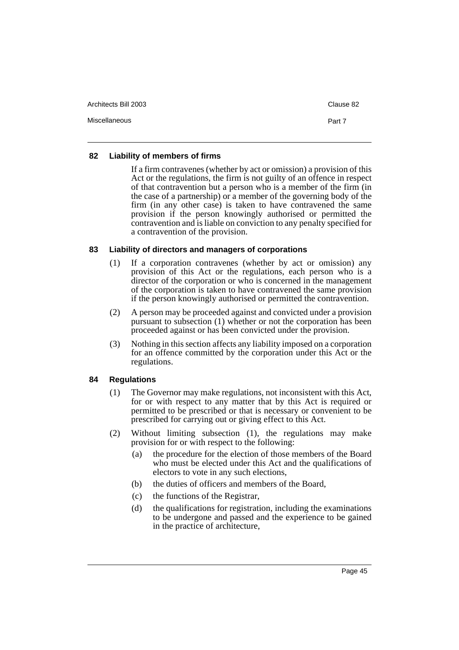| Architects Bill 2003 | Clause 82 |
|----------------------|-----------|
| Miscellaneous        | Part 7    |

# <span id="page-49-0"></span>**82 Liability of members of firms**

If a firm contravenes (whether by act or omission) a provision of this Act or the regulations, the firm is not guilty of an offence in respect of that contravention but a person who is a member of the firm (in the case of a partnership) or a member of the governing body of the firm (in any other case) is taken to have contravened the same provision if the person knowingly authorised or permitted the contravention and is liable on conviction to any penalty specified for a contravention of the provision.

# <span id="page-49-1"></span>**83 Liability of directors and managers of corporations**

- (1) If a corporation contravenes (whether by act or omission) any provision of this Act or the regulations, each person who is a director of the corporation or who is concerned in the management of the corporation is taken to have contravened the same provision if the person knowingly authorised or permitted the contravention.
- (2) A person may be proceeded against and convicted under a provision pursuant to subsection (1) whether or not the corporation has been proceeded against or has been convicted under the provision.
- (3) Nothing in this section affects any liability imposed on a corporation for an offence committed by the corporation under this Act or the regulations.

# <span id="page-49-2"></span>**84 Regulations**

- (1) The Governor may make regulations, not inconsistent with this Act, for or with respect to any matter that by this Act is required or permitted to be prescribed or that is necessary or convenient to be prescribed for carrying out or giving effect to this Act.
- (2) Without limiting subsection (1), the regulations may make provision for or with respect to the following:
	- (a) the procedure for the election of those members of the Board who must be elected under this Act and the qualifications of electors to vote in any such elections,
	- (b) the duties of officers and members of the Board,
	- (c) the functions of the Registrar,
	- (d) the qualifications for registration, including the examinations to be undergone and passed and the experience to be gained in the practice of architecture,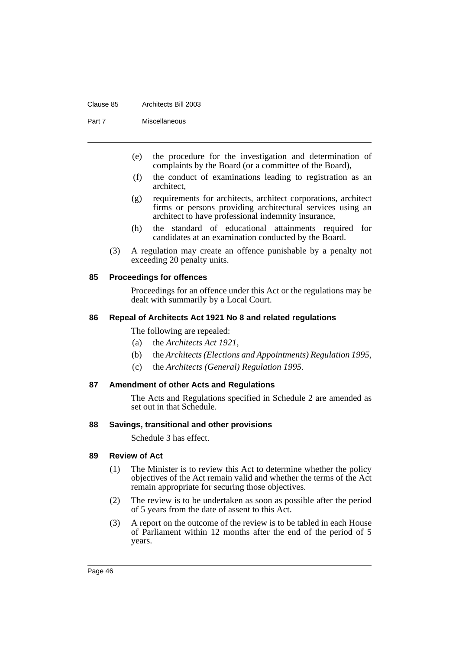#### Clause 85 Architects Bill 2003

Part 7 Miscellaneous

- (e) the procedure for the investigation and determination of complaints by the Board (or a committee of the Board),
- (f) the conduct of examinations leading to registration as an architect,
- (g) requirements for architects, architect corporations, architect firms or persons providing architectural services using an architect to have professional indemnity insurance,
- (h) the standard of educational attainments required for candidates at an examination conducted by the Board.
- (3) A regulation may create an offence punishable by a penalty not exceeding 20 penalty units.

# <span id="page-50-0"></span>**85 Proceedings for offences**

Proceedings for an offence under this Act or the regulations may be dealt with summarily by a Local Court.

# <span id="page-50-1"></span>**86 Repeal of Architects Act 1921 No 8 and related regulations**

The following are repealed:

- (a) the *Architects Act 1921*,
- (b) the *Architects (Elections and Appointments) Regulation 1995*,
- (c) the *Architects (General) Regulation 1995*.

#### <span id="page-50-2"></span>**87 Amendment of other Acts and Regulations**

The Acts and Regulations specified in Schedule 2 are amended as set out in that Schedule.

#### <span id="page-50-3"></span>**88 Savings, transitional and other provisions**

Schedule 3 has effect.

# <span id="page-50-4"></span>**89 Review of Act**

- (1) The Minister is to review this Act to determine whether the policy objectives of the Act remain valid and whether the terms of the Act remain appropriate for securing those objectives.
- (2) The review is to be undertaken as soon as possible after the period of 5 years from the date of assent to this Act.
- (3) A report on the outcome of the review is to be tabled in each House of Parliament within 12 months after the end of the period of 5 years.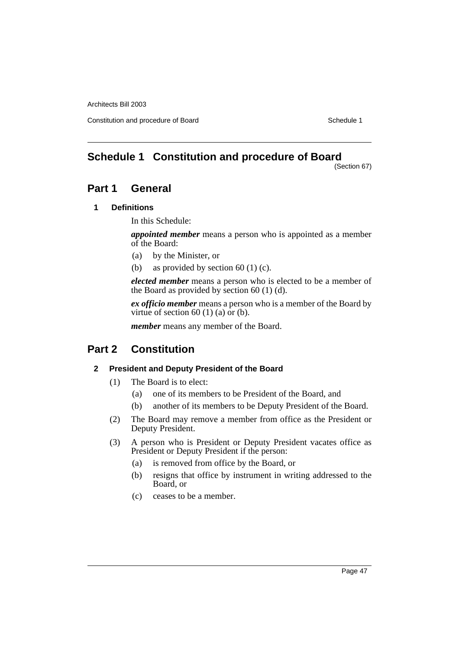Constitution and procedure of Board Schedule 1

# <span id="page-51-0"></span>**Schedule 1 Constitution and procedure of Board**

(Section 67)

# **Part 1 General**

# **1 Definitions**

In this Schedule:

*appointed member* means a person who is appointed as a member of the Board:

- (a) by the Minister, or
- (b) as provided by section 60 (1) (c).

*elected member* means a person who is elected to be a member of the Board as provided by section 60 (1) (d).

*ex officio member* means a person who is a member of the Board by virtue of section 60 (1) (a) or (b).

*member* means any member of the Board.

# **Part 2 Constitution**

# **2 President and Deputy President of the Board**

- (1) The Board is to elect:
	- (a) one of its members to be President of the Board, and
	- (b) another of its members to be Deputy President of the Board.
- (2) The Board may remove a member from office as the President or Deputy President.
- (3) A person who is President or Deputy President vacates office as President or Deputy President if the person:
	- (a) is removed from office by the Board, or
	- (b) resigns that office by instrument in writing addressed to the Board, or
	- (c) ceases to be a member.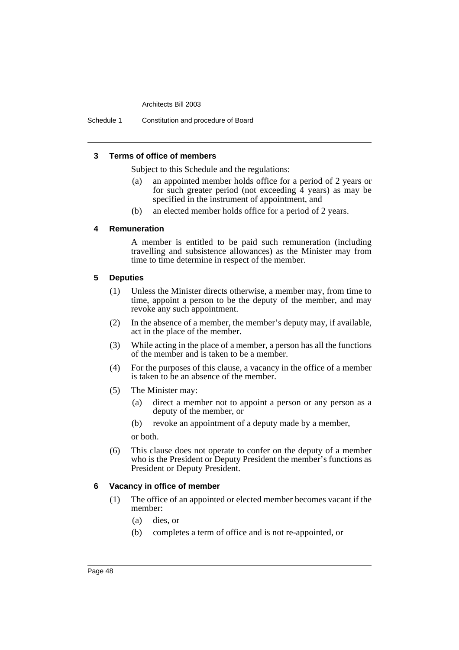Schedule 1 Constitution and procedure of Board

# **3 Terms of office of members**

Subject to this Schedule and the regulations:

- (a) an appointed member holds office for a period of 2 years or for such greater period (not exceeding  $\overline{4}$  years) as may be specified in the instrument of appointment, and
- (b) an elected member holds office for a period of 2 years.

# **4 Remuneration**

A member is entitled to be paid such remuneration (including travelling and subsistence allowances) as the Minister may from time to time determine in respect of the member.

### **5 Deputies**

- (1) Unless the Minister directs otherwise, a member may, from time to time, appoint a person to be the deputy of the member, and may revoke any such appointment.
- (2) In the absence of a member, the member's deputy may, if available, act in the place of the member.
- (3) While acting in the place of a member, a person has all the functions of the member and is taken to be a member.
- (4) For the purposes of this clause, a vacancy in the office of a member is taken to be an absence of the member.
- (5) The Minister may:
	- (a) direct a member not to appoint a person or any person as a deputy of the member, or
	- (b) revoke an appointment of a deputy made by a member,

or both.

(6) This clause does not operate to confer on the deputy of a member who is the President or Deputy President the member's functions as President or Deputy President.

# **6 Vacancy in office of member**

- (1) The office of an appointed or elected member becomes vacant if the member:
	- (a) dies, or
	- (b) completes a term of office and is not re-appointed, or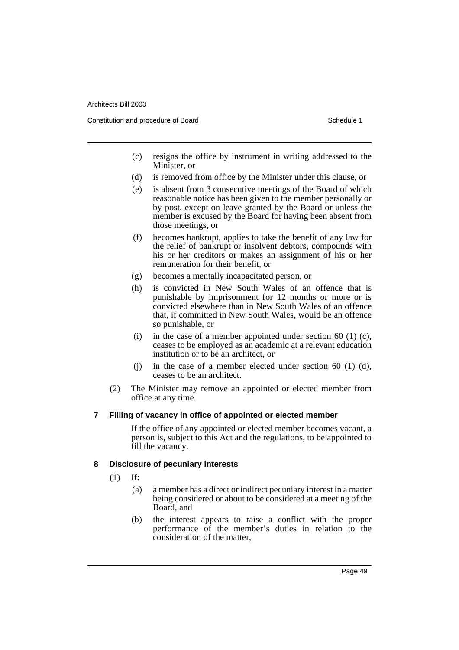Constitution and procedure of Board Schedule 1 and Schedule 1 and Schedule 1 and Schedule 1

- (c) resigns the office by instrument in writing addressed to the Minister, or
- (d) is removed from office by the Minister under this clause, or
- (e) is absent from 3 consecutive meetings of the Board of which reasonable notice has been given to the member personally or by post, except on leave granted by the Board or unless the member is excused by the Board for having been absent from those meetings, or
- (f) becomes bankrupt, applies to take the benefit of any law for the relief of bankrupt or insolvent debtors, compounds with his or her creditors or makes an assignment of his or her remuneration for their benefit, or
- (g) becomes a mentally incapacitated person, or
- (h) is convicted in New South Wales of an offence that is punishable by imprisonment for 12 months or more or is convicted elsewhere than in New South Wales of an offence that, if committed in New South Wales, would be an offence so punishable, or
- (i) in the case of a member appointed under section 60 (1) (c), ceases to be employed as an academic at a relevant education institution or to be an architect, or
- (i) in the case of a member elected under section  $60$  (1) (d), ceases to be an architect.
- (2) The Minister may remove an appointed or elected member from office at any time.

# **7 Filling of vacancy in office of appointed or elected member**

If the office of any appointed or elected member becomes vacant, a person is, subject to this Act and the regulations, to be appointed to fill the vacancy.

# **8 Disclosure of pecuniary interests**

- (1) If:
	- (a) a member has a direct or indirect pecuniary interest in a matter being considered or about to be considered at a meeting of the Board, and
	- (b) the interest appears to raise a conflict with the proper performance of the member's duties in relation to the consideration of the matter,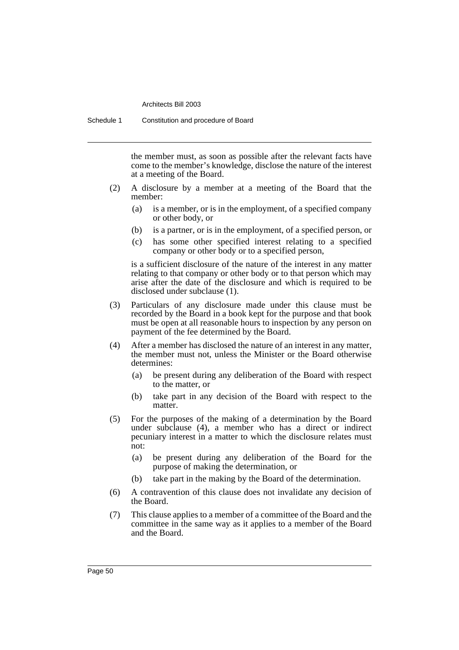Schedule 1 Constitution and procedure of Board

the member must, as soon as possible after the relevant facts have come to the member's knowledge, disclose the nature of the interest at a meeting of the Board.

- (2) A disclosure by a member at a meeting of the Board that the member:
	- (a) is a member, or is in the employment, of a specified company or other body, or
	- (b) is a partner, or is in the employment, of a specified person, or
	- (c) has some other specified interest relating to a specified company or other body or to a specified person,

is a sufficient disclosure of the nature of the interest in any matter relating to that company or other body or to that person which may arise after the date of the disclosure and which is required to be disclosed under subclause (1).

- (3) Particulars of any disclosure made under this clause must be recorded by the Board in a book kept for the purpose and that book must be open at all reasonable hours to inspection by any person on payment of the fee determined by the Board.
- (4) After a member has disclosed the nature of an interest in any matter, the member must not, unless the Minister or the Board otherwise determines:
	- (a) be present during any deliberation of the Board with respect to the matter, or
	- (b) take part in any decision of the Board with respect to the matter.
- (5) For the purposes of the making of a determination by the Board under subclause (4), a member who has a direct or indirect pecuniary interest in a matter to which the disclosure relates must not:
	- (a) be present during any deliberation of the Board for the purpose of making the determination, or
	- (b) take part in the making by the Board of the determination.
- (6) A contravention of this clause does not invalidate any decision of the Board.
- (7) This clause applies to a member of a committee of the Board and the committee in the same way as it applies to a member of the Board and the Board.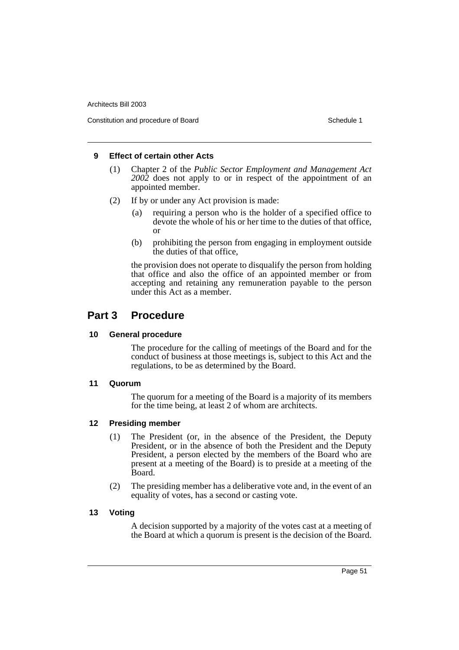Constitution and procedure of Board Schedule 1 and Schedule 1 and Schedule 1 and Schedule 1

# **9 Effect of certain other Acts**

- (1) Chapter 2 of the *Public Sector Employment and Management Act 2002* does not apply to or in respect of the appointment of an appointed member.
- (2) If by or under any Act provision is made:
	- (a) requiring a person who is the holder of a specified office to devote the whole of his or her time to the duties of that office, or
	- (b) prohibiting the person from engaging in employment outside the duties of that office,

the provision does not operate to disqualify the person from holding that office and also the office of an appointed member or from accepting and retaining any remuneration payable to the person under this Act as a member.

# **Part 3 Procedure**

# **10 General procedure**

The procedure for the calling of meetings of the Board and for the conduct of business at those meetings is, subject to this Act and the regulations, to be as determined by the Board.

# **11 Quorum**

The quorum for a meeting of the Board is a majority of its members for the time being, at least 2 of whom are architects.

# **12 Presiding member**

- (1) The President (or, in the absence of the President, the Deputy President, or in the absence of both the President and the Deputy President, a person elected by the members of the Board who are present at a meeting of the Board) is to preside at a meeting of the Board.
- (2) The presiding member has a deliberative vote and, in the event of an equality of votes, has a second or casting vote.

# **13 Voting**

A decision supported by a majority of the votes cast at a meeting of the Board at which a quorum is present is the decision of the Board.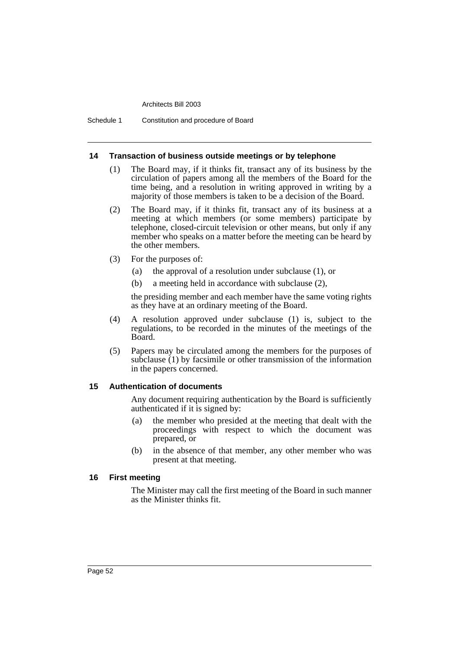Schedule 1 Constitution and procedure of Board

#### **14 Transaction of business outside meetings or by telephone**

- (1) The Board may, if it thinks fit, transact any of its business by the circulation of papers among all the members of the Board for the time being, and a resolution in writing approved in writing by a majority of those members is taken to be a decision of the Board.
- (2) The Board may, if it thinks fit, transact any of its business at a meeting at which members (or some members) participate by telephone, closed-circuit television or other means, but only if any member who speaks on a matter before the meeting can be heard by the other members.
- (3) For the purposes of:
	- (a) the approval of a resolution under subclause (1), or
	- (b) a meeting held in accordance with subclause (2),

the presiding member and each member have the same voting rights as they have at an ordinary meeting of the Board.

- (4) A resolution approved under subclause (1) is, subject to the regulations, to be recorded in the minutes of the meetings of the Board.
- (5) Papers may be circulated among the members for the purposes of subclause (1) by facsimile or other transmission of the information in the papers concerned.

#### **15 Authentication of documents**

Any document requiring authentication by the Board is sufficiently authenticated if it is signed by:

- (a) the member who presided at the meeting that dealt with the proceedings with respect to which the document was prepared, or
- (b) in the absence of that member, any other member who was present at that meeting.

#### **16 First meeting**

The Minister may call the first meeting of the Board in such manner as the Minister thinks fit.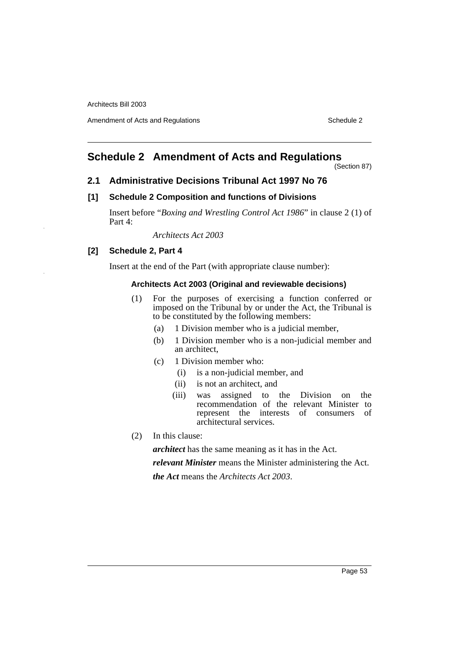Amendment of Acts and Regulations Schedule 2

# <span id="page-57-0"></span>**Schedule 2 Amendment of Acts and Regulations**

(Section 87)

#### **2.1 Administrative Decisions Tribunal Act 1997 No 76**

### **[1] Schedule 2 Composition and functions of Divisions**

Insert before "*Boxing and Wrestling Control Act 1986*" in clause 2 (1) of Part 4:

*Architects Act 2003*

# **[2] Schedule 2, Part 4**

Insert at the end of the Part (with appropriate clause number):

#### **Architects Act 2003 (Original and reviewable decisions)**

- (1) For the purposes of exercising a function conferred or imposed on the Tribunal by or under the Act, the Tribunal is to be constituted by the following members:
	- (a) 1 Division member who is a judicial member,
	- (b) 1 Division member who is a non-judicial member and an architect,
	- (c) 1 Division member who:
		- (i) is a non-judicial member, and
		- (ii) is not an architect, and
		- (iii) was assigned to the Division on the recommendation of the relevant Minister to represent the interests of consumers of architectural services.
- (2) In this clause:

*architect* has the same meaning as it has in the Act.

*relevant Minister* means the Minister administering the Act.

*the Act* means the *Architects Act 2003*.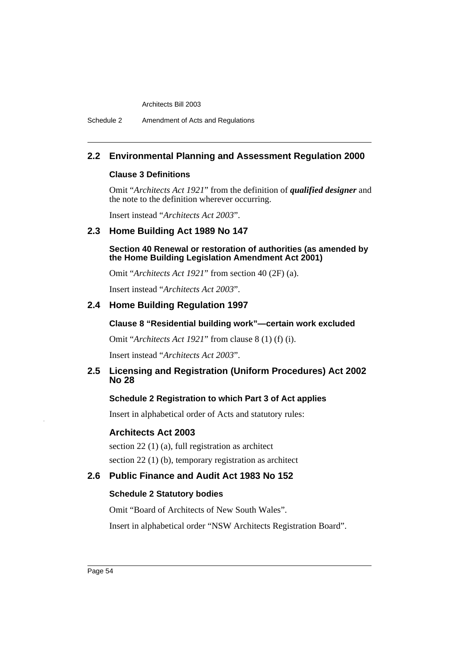# **2.2 Environmental Planning and Assessment Regulation 2000**

### **Clause 3 Definitions**

Omit "*Architects Act 1921*" from the definition of *qualified designer* and the note to the definition wherever occurring.

Insert instead "*Architects Act 2003*".

# **2.3 Home Building Act 1989 No 147**

**Section 40 Renewal or restoration of authorities (as amended by the Home Building Legislation Amendment Act 2001)**

Omit "*Architects Act 1921*" from section 40 (2F) (a).

Insert instead "*Architects Act 2003*".

# **2.4 Home Building Regulation 1997**

### **Clause 8 "Residential building work"—certain work excluded**

Omit "*Architects Act 1921*" from clause 8 (1) (f) (i).

Insert instead "*Architects Act 2003*".

# **2.5 Licensing and Registration (Uniform Procedures) Act 2002 No 28**

# **Schedule 2 Registration to which Part 3 of Act applies**

Insert in alphabetical order of Acts and statutory rules:

# **Architects Act 2003**

section 22 (1) (a), full registration as architect section 22 (1) (b), temporary registration as architect

# **2.6 Public Finance and Audit Act 1983 No 152**

#### **Schedule 2 Statutory bodies**

Omit "Board of Architects of New South Wales".

Insert in alphabetical order "NSW Architects Registration Board".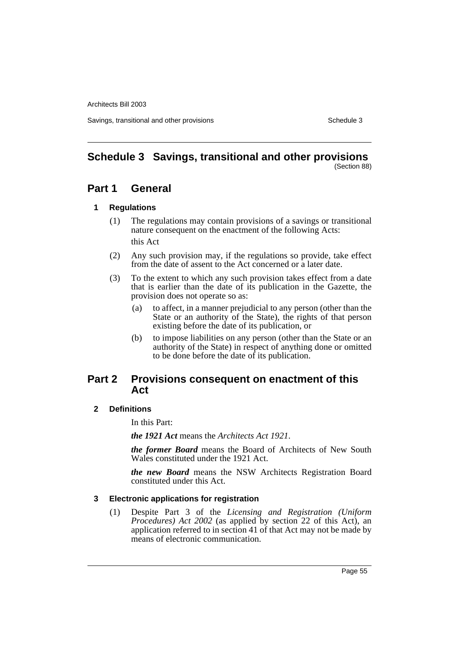Savings, transitional and other provisions Schedule 3 Schedule 3

### <span id="page-59-0"></span>**Schedule 3 Savings, transitional and other provisions** (Section 88)

# **Part 1 General**

# **1 Regulations**

- (1) The regulations may contain provisions of a savings or transitional nature consequent on the enactment of the following Acts: this Act
- (2) Any such provision may, if the regulations so provide, take effect from the date of assent to the Act concerned or a later date.
- (3) To the extent to which any such provision takes effect from a date that is earlier than the date of its publication in the Gazette, the provision does not operate so as:
	- (a) to affect, in a manner prejudicial to any person (other than the State or an authority of the State), the rights of that person existing before the date of its publication, or
	- (b) to impose liabilities on any person (other than the State or an authority of the State) in respect of anything done or omitted to be done before the date of its publication.

# **Part 2 Provisions consequent on enactment of this Act**

# **2 Definitions**

In this Part:

*the 1921 Act* means the *Architects Act 1921*.

*the former Board* means the Board of Architects of New South Wales constituted under the 1921 Act.

*the new Board* means the NSW Architects Registration Board constituted under this Act.

# **3 Electronic applications for registration**

(1) Despite Part 3 of the *Licensing and Registration (Uniform Procedures) Act 2002* (as applied by section 22 of this Act), an application referred to in section 41 of that Act may not be made by means of electronic communication.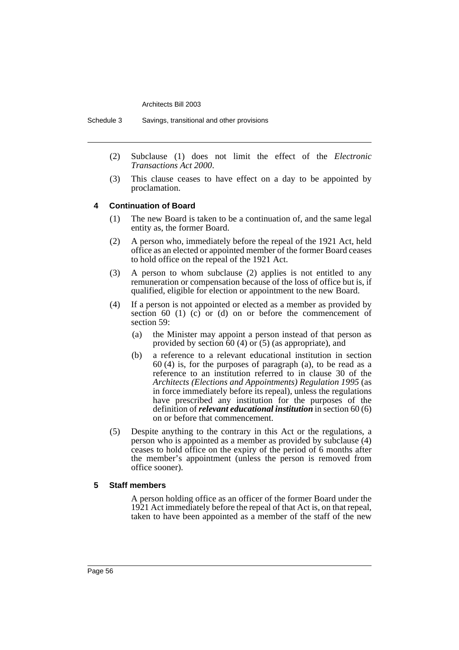Schedule 3 Savings, transitional and other provisions

- (2) Subclause (1) does not limit the effect of the *Electronic Transactions Act 2000*.
- (3) This clause ceases to have effect on a day to be appointed by proclamation.

#### **4 Continuation of Board**

- (1) The new Board is taken to be a continuation of, and the same legal entity as, the former Board.
- (2) A person who, immediately before the repeal of the 1921 Act, held office as an elected or appointed member of the former Board ceases to hold office on the repeal of the 1921 Act.
- (3) A person to whom subclause (2) applies is not entitled to any remuneration or compensation because of the loss of office but is, if qualified, eligible for election or appointment to the new Board.
- (4) If a person is not appointed or elected as a member as provided by section 60 (1) (c) or (d) on or before the commencement of section 59:
	- (a) the Minister may appoint a person instead of that person as provided by section 60 (4) or (5) (as appropriate), and
	- (b) a reference to a relevant educational institution in section 60 (4) is, for the purposes of paragraph (a), to be read as a reference to an institution referred to in clause 30 of the *Architects (Elections and Appointments) Regulation 1995* (as in force immediately before its repeal), unless the regulations have prescribed any institution for the purposes of the definition of *relevant educational institution* in section 60 (6) on or before that commencement.
- (5) Despite anything to the contrary in this Act or the regulations, a person who is appointed as a member as provided by subclause (4) ceases to hold office on the expiry of the period of 6 months after the member's appointment (unless the person is removed from office sooner).

#### **5 Staff members**

A person holding office as an officer of the former Board under the 1921 Act immediately before the repeal of that Act is, on that repeal, taken to have been appointed as a member of the staff of the new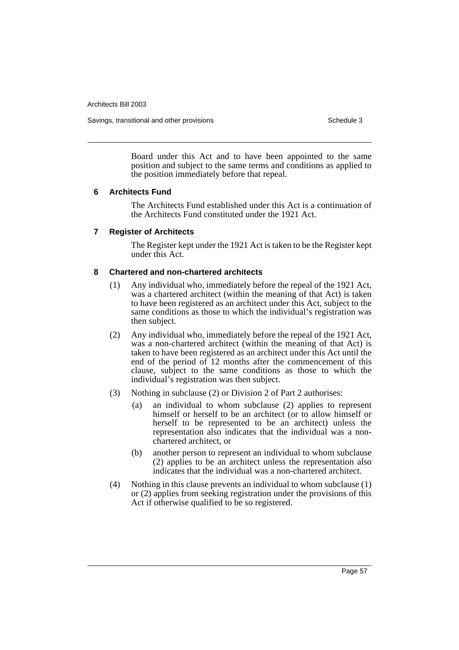Savings, transitional and other provisions Schedule 3 Schedule 3

Board under this Act and to have been appointed to the same position and subject to the same terms and conditions as applied to the position immediately before that repeal.

### **6 Architects Fund**

The Architects Fund established under this Act is a continuation of the Architects Fund constituted under the 1921 Act.

### **7 Register of Architects**

The Register kept under the 1921 Act is taken to be the Register kept under this Act.

### **8 Chartered and non-chartered architects**

- (1) Any individual who, immediately before the repeal of the 1921 Act, was a chartered architect (within the meaning of that Act) is taken to have been registered as an architect under this Act, subject to the same conditions as those to which the individual's registration was then subject.
- (2) Any individual who, immediately before the repeal of the 1921 Act, was a non-chartered architect (within the meaning of that Act) is taken to have been registered as an architect under this Act until the end of the period of 12 months after the commencement of this clause, subject to the same conditions as those to which the individual's registration was then subject.
- (3) Nothing in subclause (2) or Division 2 of Part 2 authorises:
	- (a) an individual to whom subclause (2) applies to represent himself or herself to be an architect (or to allow himself or herself to be represented to be an architect) unless the representation also indicates that the individual was a nonchartered architect, or
	- (b) another person to represent an individual to whom subclause (2) applies to be an architect unless the representation also indicates that the individual was a non-chartered architect.
- (4) Nothing in this clause prevents an individual to whom subclause (1) or (2) applies from seeking registration under the provisions of this Act if otherwise qualified to be so registered.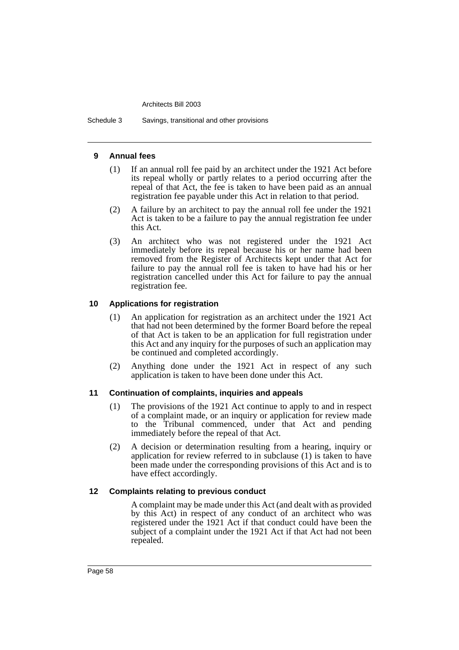Schedule 3 Savings, transitional and other provisions

### **9 Annual fees**

- (1) If an annual roll fee paid by an architect under the 1921 Act before its repeal wholly or partly relates to a period occurring after the repeal of that Act, the fee is taken to have been paid as an annual registration fee payable under this Act in relation to that period.
- (2) A failure by an architect to pay the annual roll fee under the 1921 Act is taken to be a failure to pay the annual registration fee under this Act.
- (3) An architect who was not registered under the 1921 Act immediately before its repeal because his or her name had been removed from the Register of Architects kept under that Act for failure to pay the annual roll fee is taken to have had his or her registration cancelled under this Act for failure to pay the annual registration fee.

# **10 Applications for registration**

- (1) An application for registration as an architect under the 1921 Act that had not been determined by the former Board before the repeal of that Act is taken to be an application for full registration under this Act and any inquiry for the purposes of such an application may be continued and completed accordingly.
- (2) Anything done under the 1921 Act in respect of any such application is taken to have been done under this Act.

# **11 Continuation of complaints, inquiries and appeals**

- (1) The provisions of the 1921 Act continue to apply to and in respect of a complaint made, or an inquiry or application for review made to the Tribunal commenced, under that Act and pending immediately before the repeal of that Act.
- (2) A decision or determination resulting from a hearing, inquiry or application for review referred to in subclause (1) is taken to have been made under the corresponding provisions of this Act and is to have effect accordingly.

# **12 Complaints relating to previous conduct**

A complaint may be made under this Act (and dealt with as provided by this Act) in respect of any conduct of an architect who was registered under the 1921 Act if that conduct could have been the subject of a complaint under the 1921 Act if that Act had not been repealed.